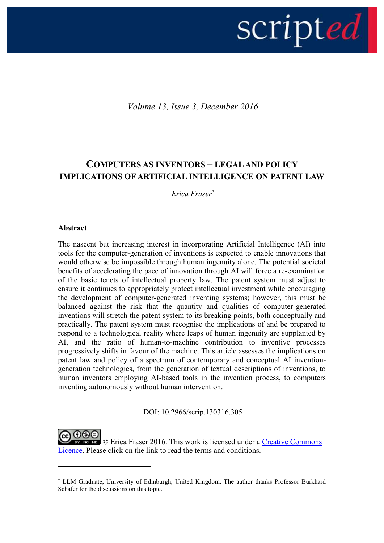# scripted |

*Volume 13, Issue 3, December 2016*

# **COMPUTERS AS INVENTORS – LEGAL AND POLICY IMPLICATIONS OF ARTIFICIAL INTELLIGENCE ON PATENT LAW**

*Erica Fraser\**

### **Abstract**

1

The nascent but increasing interest in incorporating Artificial Intelligence (AI) into tools for the computer-generation of inventions is expected to enable innovations that would otherwise be impossible through human ingenuity alone. The potential societal benefits of accelerating the pace of innovation through AI will force a re-examination of the basic tenets of intellectual property law. The patent system must adjust to ensure it continues to appropriately protect intellectual investment while encouraging the development of computer-generated inventing systems; however, this must be balanced against the risk that the quantity and qualities of computer-generated inventions will stretch the patent system to its breaking points, both conceptually and practically. The patent system must recognise the implications of and be prepared to respond to a technological reality where leaps of human ingenuity are supplanted by AI, and the ratio of human-to-machine contribution to inventive processes progressively shifts in favour of the machine. This article assesses the implications on patent law and policy of a spectrum of contemporary and conceptual AI inventiongeneration technologies, from the generation of textual descriptions of inventions, to human inventors employing AI-based tools in the invention process, to computers inventing autonomously without human intervention.

DOI: 10.2966/scrip.130316.305

**NG NG** © Erica Fraser 2016. This work is licensed under a Creative Commons [Licence.](http://creativecommons.org/licenses/by-nc-nd/2.5/scotland/) Please click on the link to read the terms and conditions.

<sup>\*</sup> LLM Graduate, University of Edinburgh, United Kingdom. The author thanks Professor Burkhard Schafer for the discussions on this topic.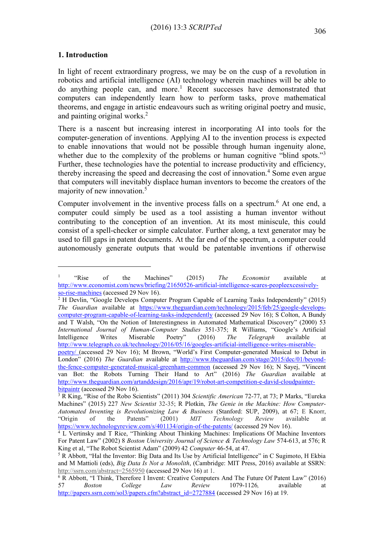### **1. Introduction**

<u>.</u>

In light of recent extraordinary progress, we may be on the cusp of a revolution in robotics and artificial intelligence (AI) technology wherein machines will be able to do anything people can, and more.<sup>1</sup> Recent successes have demonstrated that computers can independently learn how to perform tasks, prove mathematical theorems, and engage in artistic endeavours such as writing original poetry and music, and painting original works.<sup>2</sup>

<span id="page-1-2"></span>There is a nascent but increasing interest in incorporating AI into tools for the computer-generation of inventions. Applying AI to the invention process is expected to enable innovations that would not be possible through human ingenuity alone, whether due to the complexity of the problems or human cognitive "blind spots."<sup>3</sup> Further, these technologies have the potential to increase productivity and efficiency, thereby increasing the speed and decreasing the cost of innovation.<sup>4</sup> Some even argue that computers will inevitably displace human inventors to become the creators of the majority of new innovation.<sup>5</sup>

<span id="page-1-1"></span><span id="page-1-0"></span>Computer involvement in the inventive process falls on a spectrum.<sup>6</sup> At one end, a computer could simply be used as a tool assisting a human inventor without contributing to the conception of an invention. At its most miniscule, this could consist of a spell-checker or simple calculator. Further along, a text generator may be used to fill gaps in patent documents. At the far end of the spectrum, a computer could autonomously generate outputs that would be patentable inventions if otherwise

 $2$  H Devlin, "Google Develops Computer Program Capable of Learning Tasks Independently" (2015) *The Guardian* available at [https://www.theguardian.com/technology/2015/feb/25/google-develops](https://www.theguardian.com/technology/2015/feb/25/google-develops-computer-program-capable-of-learning-tasks-independently)[computer-program-capable-of-learning-tasks-independently](https://www.theguardian.com/technology/2015/feb/25/google-develops-computer-program-capable-of-learning-tasks-independently) (accessed 29 Nov 16); S Colton, A Bundy and T Walsh, "On the Notion of Interestingness in Automated Mathematical Discovery" (2000) 53 *International Journal of Human-Computer Studies* 351-375; R Williams, "Google's Artificial Intelligence Writes Miserable Poetry" (2016) *The Telegraph* available at [http://www.telegraph.co.uk/technology/2016/05/16/googles-artificial-intelligence-writes-miserable](http://www.telegraph.co.uk/technology/2016/05/16/googles-artificial-intelligence-writes-miserable-poetry/)[poetry/](http://www.telegraph.co.uk/technology/2016/05/16/googles-artificial-intelligence-writes-miserable-poetry/) (accessed 29 Nov 16); M Brown, "World's First Computer-generated Musical to Debut in London" (2016) *The Guardian* available at [http://www.theguardian.com/stage/2015/dec/01/beyond](http://www.theguardian.com/stage/2015/dec/01/beyond-the-fence-computer-generated-musical-greenham-common)[the-fence-computer-generated-musical-greenham-common](http://www.theguardian.com/stage/2015/dec/01/beyond-the-fence-computer-generated-musical-greenham-common) (accessed 29 Nov 16); N Sayej, "Vincent van Bot: the Robots Turning Their Hand to Art" (2016) *The Guardian* available at [http://www.theguardian.com/artanddesign/2016/apr/19/robot-art-competition-e-david-cloudpainter](http://www.theguardian.com/artanddesign/2016/apr/19/robot-art-competition-e-david-cloudpainter-bitpaintr)[bitpaintr](http://www.theguardian.com/artanddesign/2016/apr/19/robot-art-competition-e-david-cloudpainter-bitpaintr) (accessed 29 Nov 16).

<sup>1</sup> "Rise of the Machines" (2015) *The Economist* available at [http://www.economist.com/news/briefing/21650526-artificial-intelligence-scares-peopleexcessively](http://www.economist.com/news/briefing/21650526-artificial-intelligence-scares-peopleexcessively-so-rise-machines)[so-rise-machines](http://www.economist.com/news/briefing/21650526-artificial-intelligence-scares-peopleexcessively-so-rise-machines) (accessed 29 Nov 16).

<sup>3</sup> R King, "Rise of the Robo Scientists" (2011) 304 *Scientific American* 72-77, at 73; P Marks, "Eureka Machines" (2015) 227 *New Scientist* 32-35; R Plotkin, *The Genie in the Machine: How Computer-Automated Inventing is Revolutionizing Law & Business* (Stanford: SUP, 2009), at 67; E Knorr, "Origin of the Patents" (2001) *MIT Technology Review* available at <https://www.technologyreview.com/s/401134/origin-of-the-patents/> (accessed 29 Nov 16).

<sup>&</sup>lt;sup>4</sup> L Vertinsky and T Rice, "Thinking About Thinking Machines: Implications Of Machine Inventors For Patent Law" (2002) 8 *Boston University Journal of Science & Technology Law* 574-613, at 576; R King et al, "The Robot Scientist Adam" (2009) 42 *Computer* 46-54, at 47.

<sup>5</sup> R Abbott, "Hal the Inventor: Big Data and Its Use by Artificial Intelligence" in C Sugimoto, H Ekbia and M Mattioli (eds), *Big Data Is Not a Monolith*, (Cambridge: MIT Press, 2016) available at SSRN: <http://ssrn.com/abstract=2565950> (accessed 29 Nov 16) at 1.

<sup>6</sup> R Abbott, "I Think, Therefore I Invent: Creative Computers And The Future Of Patent Law" (2016) 57 *Boston College Law Review* 1079-1126*,* available at [http://papers.ssrn.com/sol3/papers.cfm?abstract\\_id=2727884](http://papers.ssrn.com/sol3/papers.cfm?abstract_id=2727884) (accessed 29 Nov 16) at 19.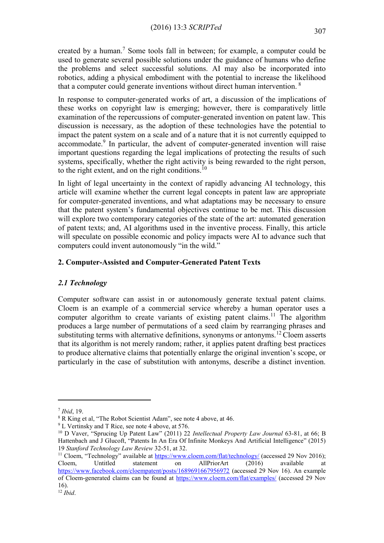created by a human.<sup>7</sup> Some tools fall in between; for example, a computer could be used to generate several possible solutions under the guidance of humans who define the problems and select successful solutions. AI may also be incorporated into robotics, adding a physical embodiment with the potential to increase the likelihood that a computer could generate inventions without direct human intervention. <sup>8</sup>

In response to computer-generated works of art, a discussion of the implications of these works on copyright law is emerging; however, there is comparatively little examination of the repercussions of computer-generated invention on patent law. This discussion is necessary, as the adoption of these technologies have the potential to impact the patent system on a scale and of a nature that it is not currently equipped to accommodate.<sup>9</sup> In particular, the advent of computer-generated invention will raise important questions regarding the legal implications of protecting the results of such systems, specifically, whether the right activity is being rewarded to the right person, to the right extent, and on the right conditions.<sup>10</sup>

<span id="page-2-1"></span>In light of legal uncertainty in the context of rapidly advancing AI technology, this article will examine whether the current legal concepts in patent law are appropriate for computer-generated inventions, and what adaptations may be necessary to ensure that the patent system's fundamental objectives continue to be met. This discussion will explore two contemporary categories of the state of the art: automated generation of patent texts; and, AI algorithms used in the inventive process. Finally, this article will speculate on possible economic and policy impacts were AI to advance such that computers could invent autonomously "in the wild."

# **2. Computer-Assisted and Computer-Generated Patent Texts**

# *2.1 Technology*

<span id="page-2-0"></span>Computer software can assist in or autonomously generate textual patent claims. Cloem is an example of a commercial service whereby a human operator uses a computer algorithm to create variants of existing patent claims.<sup>11</sup> The algorithm produces a large number of permutations of a seed claim by rearranging phrases and substituting terms with alternative definitions, synonyms or antonyms.<sup>12</sup> Cloem asserts that its algorithm is not merely random; rather, it applies patent drafting best practices to produce alternative claims that potentially enlarge the original invention's scope, or particularly in the case of substitution with antonyms, describe a distinct invention.

<sup>7</sup> *Ibid*, 19.

<sup>8</sup> R King et al, "The Robot Scientist Adam", see note 4 above, at 46.

<sup>&</sup>lt;sup>9</sup> L Vertinsky and T Rice, see note [4](#page-1-0) above, at 576.

<sup>10</sup> D Vaver, "Sprucing Up Patent Law" (2011) 22 *Intellectual Property Law Journal* 63-81, at 66; B Hattenbach and J Glucoft, "Patents In An Era Of Infinite Monkeys And Artificial Intelligence" (2015) 19 *Stanford Technology Law Review* 32-51, at 32.

<sup>&</sup>lt;sup>11</sup> Cloem, "Technology" available at <https://www.cloem.com/flat/technology/> (accessed 29 Nov 2016); Cloem, Untitled statement on AllPriorArt (2016) available at <https://www.facebook.com/cloempatent/posts/1689691667956972> (accessed 29 Nov 16). An example of Cloem-generated claims can be found at<https://www.cloem.com/flat/examples/> (accessed 29 Nov 16).

<sup>12</sup> *Ibid*.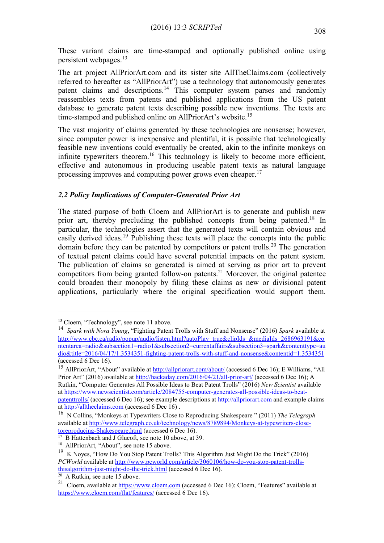These variant claims are time-stamped and optionally published online using persistent webpages.<sup>13</sup>

The art project AllPriorArt.com and its sister site AllTheClaims.com (collectively referred to hereafter as "AllPriorArt") use a technology that autonomously generates patent claims and descriptions.<sup>14</sup> This computer system parses and randomly reassembles texts from patents and published applications from the US patent database to generate patent texts describing possible new inventions. The texts are time-stamped and published online on AllPriorArt's website.<sup>15</sup>

The vast majority of claims generated by these technologies are nonsense; however, since computer power is inexpensive and plentiful, it is possible that technologically feasible new inventions could eventually be created, akin to the infinite monkeys on infinite typewriters theorem.<sup>16</sup> This technology is likely to become more efficient, effective and autonomous in producing useable patent texts as natural language processing improves and computing power grows even cheaper.<sup>17</sup>

# *2.2 Policy Implications of Computer-Generated Prior Art*

The stated purpose of both Cloem and AllPriorArt is to generate and publish new prior art, thereby precluding the published concepts from being patented.<sup>18</sup> In particular, the technologies assert that the generated texts will contain obvious and easily derived ideas.<sup>19</sup> Publishing these texts will place the concepts into the public domain before they can be patented by competitors or patent trolls.<sup>20</sup> The generation of textual patent claims could have several potential impacts on the patent system. The publication of claims so generated is aimed at serving as prior art to prevent competitors from being granted follow-on patents.<sup>21</sup> Moreover, the original patentee could broaden their monopoly by filing these claims as new or divisional patent applications, particularly where the original specification would support them.

<u>.</u>

<sup>&</sup>lt;sup>13</sup> Cloem, "Technology", see note [11](#page-2-0) above.

<sup>14</sup> *Spark with Nora Young*, "Fighting Patent Trolls with Stuff and Nonsense" (2016) *Spark* available at [http://www.cbc.ca/radio/popup/audio/listen.html?autoPlay=true&clipIds=&mediaIds=2686963191&co](http://www.cbc.ca/radio/popup/audio/listen.html?autoPlay=true&clipIds=&mediaIds=2686963191&contentarea=radio&subsection1=radio1&subsection2=currentaffairs&subsection3=spark&contenttype=audio&title=2016/04/17/1.3534351-fighting-patent-trolls-with-stuff-and-nonsense&contentid=1.3534351) [ntentarea=radio&subsection1=radio1&subsection2=currentaffairs&subsection3=spark&contenttype=au](http://www.cbc.ca/radio/popup/audio/listen.html?autoPlay=true&clipIds=&mediaIds=2686963191&contentarea=radio&subsection1=radio1&subsection2=currentaffairs&subsection3=spark&contenttype=audio&title=2016/04/17/1.3534351-fighting-patent-trolls-with-stuff-and-nonsense&contentid=1.3534351) [dio&title=2016/04/17/1.3534351-fighting-patent-trolls-with-stuff-and-nonsense&contentid=1.3534351](http://www.cbc.ca/radio/popup/audio/listen.html?autoPlay=true&clipIds=&mediaIds=2686963191&contentarea=radio&subsection1=radio1&subsection2=currentaffairs&subsection3=spark&contenttype=audio&title=2016/04/17/1.3534351-fighting-patent-trolls-with-stuff-and-nonsense&contentid=1.3534351) (accessed 6 Dec 16).

<sup>&</sup>lt;sup>15</sup> AllPriorArt, "About" available at <http://allpriorart.com/about/> (accessed 6 Dec 16); E Williams, "All Prior Art" (2016) available at <http://hackaday.com/2016/04/21/all-prior-art/> (accessed 6 Dec 16); A Rutkin, "Computer Generates All Possible Ideas to Beat Patent Trolls" (2016) *New Scientist* available a[t https://www.newscientist.com/article/2084755-computer-generates-all-possible-ideas-to-beat](https://www.newscientist.com/article/2084755-computer-generates-all-possible-ideas-to-beat-patenttrolls/)[patenttrolls/](https://www.newscientist.com/article/2084755-computer-generates-all-possible-ideas-to-beat-patenttrolls/) (accessed 6 Dec 16); see example descriptions at http://allpriorart.com and example claims a[t http://alltheclaims.com](http://alltheclaims.com/) (accessed 6 Dec 16) .

<sup>16</sup> N Collins, "Monkeys at Typewriters Close to Reproducing Shakespeare " (2011) *The Telegraph* available at [http://www.telegraph.co.uk/technology/news/8789894/Monkeys-at-typewriters-close](http://www.telegraph.co.uk/technology/news/8789894/Monkeys-at-typewriters-close-toreproducing-Shakespeare.html)[toreproducing-Shakespeare.html](http://www.telegraph.co.uk/technology/news/8789894/Monkeys-at-typewriters-close-toreproducing-Shakespeare.html) (accessed 6 Dec 16).

<sup>&</sup>lt;sup>17</sup> B Hattenbach and J Glucoft, see note [10](#page-2-1) above, at 39.

<sup>&</sup>lt;sup>18</sup> AllPriorArt, "About", see note 15 above.

<sup>&</sup>lt;sup>19</sup> K Noves, "How Do You Stop Patent Trolls? This Algorithm Just Might Do the Trick" (2016) *PCWorld* available a[t http://www.pcworld.com/article/3060106/how-do-you-stop-patent-trolls](http://www.pcworld.com/article/3060106/how-do-you-stop-patent-trolls-thisalgorithm-just-might-do-the-trick.html)[thisalgorithm-just-might-do-the-trick.html](http://www.pcworld.com/article/3060106/how-do-you-stop-patent-trolls-thisalgorithm-just-might-do-the-trick.html) (accessed 6 Dec 16).

 $20$  A Rutkin, see note 15 above.

<sup>&</sup>lt;sup>21</sup> Cloem, available a[t https://www.cloem.com](https://www.cloem.com/) (accessed 6 Dec 16); Cloem, "Features" available at <https://www.cloem.com/flat/features/> (accessed 6 Dec 16).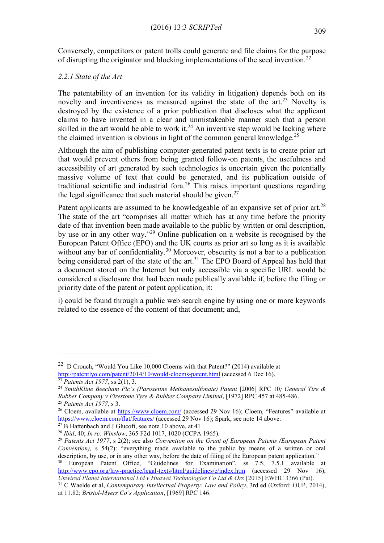Conversely, competitors or patent trolls could generate and file claims for the purpose of disrupting the originator and blocking implementations of the seed invention.<sup>22</sup>

# *2.2.1 State of the Art*

The patentability of an invention (or its validity in litigation) depends both on its novelty and inventiveness as measured against the state of the  $art.^{23}$  Novelty is destroyed by the existence of a prior publication that discloses what the applicant claims to have invented in a clear and unmistakeable manner such that a person skilled in the art would be able to work it.<sup>24</sup> An inventive step would be lacking where the claimed invention is obvious in light of the common general knowledge.<sup>25</sup>

Although the aim of publishing computer-generated patent texts is to create prior art that would prevent others from being granted follow-on patents, the usefulness and accessibility of art generated by such technologies is uncertain given the potentially massive volume of text that could be generated, and its publication outside of traditional scientific and industrial for  $2^{26}$  This raises important questions regarding the legal significance that such material should be given.<sup>27</sup>

Patent applicants are assumed to be knowledgeable of an expansive set of prior art.<sup>28</sup> The state of the art "comprises all matter which has at any time before the priority date of that invention been made available to the public by written or oral description, by use or in any other way."<sup>29</sup> Online publication on a website is recognised by the European Patent Office (EPO) and the UK courts as prior art so long as it is available without any bar of confidentiality.<sup>30</sup> Moreover, obscurity is not a bar to a publication being considered part of the state of the art.<sup>31</sup> The EPO Board of Appeal has held that a document stored on the Internet but only accessible via a specific URL would be considered a disclosure that had been made publically available if, before the filing or priority date of the patent or patent application, it:

i) could be found through a public web search engine by using one or more keywords related to the essence of the content of that document; and,

<u>.</u>

<sup>&</sup>lt;sup>22</sup> D Crouch, "Would You Like 10,000 Cloems with that Patent?" (2014) available at <http://patentlyo.com/patent/2014/10/would-cloems-patent.html> (accessed 6 Dec 16).

<sup>23</sup> *Patents Act 1977*, ss 2(1), 3.

<sup>24</sup> *SmithKline Beecham Plc's (Paroxetine Methanesulfonate) Patent* [2006] RPC 10*; General Tire & Rubber Company v Firestone Tyre & Rubber Company Limited*, [1972] RPC 457 at 485-486. <sup>25</sup> *Patents Act 1977*, s 3.

<sup>&</sup>lt;sup>26</sup> Cloem, available at<https://www.cloem.com/> (accessed 29 Nov 16); Cloem, "Features" available at <https://www.cloem.com/flat/features/> (accessed 29 Nov 16); Spark, see note 14 above.

 $27 \text{ B}$  Hattenbach and J Glucoft, see note [10](#page-2-1) above, at 41

<sup>28</sup> *Ibid*, 40; *In re: Winslow*, 365 F2d 1017, 1020 (CCPA 1965).

<sup>29</sup> *Patents Act 1977*, s 2(2); see also *Convention on the Grant of European Patents (European Patent Convention),* s 54(2): "everything made available to the public by means of a written or oral description, by use, or in any other way, before the date of filing of the European patent application."

<sup>30</sup> European Patent Office, "Guidelines for Examination", ss 7.5, 7.5.1 available at <http://www.epo.org/law-practice/legal-texts/html/guidelines/e/index.htm> (accessed 29 Nov 16); *Unwired Planet International Ltd v Huawei Technologies Co Ltd & Ors* [2015] EWHC 3366 (Pat).

<sup>31</sup> C Waelde et al, *Contemporary Intellectual Property: Law and Policy*, 3rd ed (Oxford: OUP, 2014), at 11.82; *Bristol-Myers Co's Application*, [1969] RPC 146.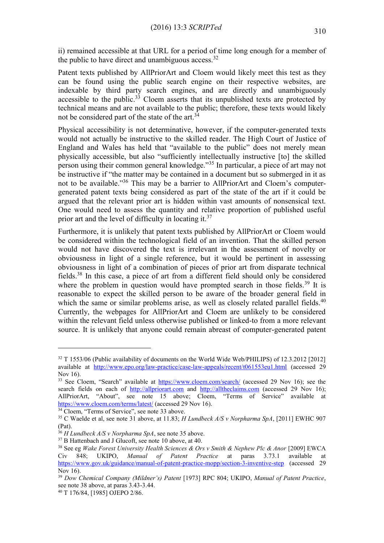ii) remained accessible at that URL for a period of time long enough for a member of the public to have direct and unambiguous access. $32$ 

Patent texts published by AllPriorArt and Cloem would likely meet this test as they can be found using the public search engine on their respective websites, are indexable by third party search engines, and are directly and unambiguously accessible to the public.<sup>33</sup> Cloem asserts that its unpublished texts are protected by technical means and are not available to the public; therefore, these texts would likely not be considered part of the state of the art.<sup>34</sup>

Physical accessibility is not determinative, however, if the computer-generated texts would not actually be instructive to the skilled reader. The High Court of Justice of England and Wales has held that "available to the public" does not merely mean physically accessible, but also "sufficiently intellectually instructive [to] the skilled person using their common general knowledge."<sup>35</sup> In particular, a piece of art may not be instructive if "the matter may be contained in a document but so submerged in it as not to be available."<sup>36</sup> This may be a barrier to AllPriorArt and Cloem's computergenerated patent texts being considered as part of the state of the art if it could be argued that the relevant prior art is hidden within vast amounts of nonsensical text. One would need to assess the quantity and relative proportion of published useful prior art and the level of difficulty in locating it.<sup>37</sup>

Furthermore, it is unlikely that patent texts published by AllPriorArt or Cloem would be considered within the technological field of an invention. That the skilled person would not have discovered the text is irrelevant in the assessment of novelty or obviousness in light of a single reference, but it would be pertinent in assessing obviousness in light of a combination of pieces of prior art from disparate technical fields.<sup>38</sup> In this case, a piece of art from a different field should only be considered where the problem in question would have prompted search in those fields.<sup>39</sup> It is reasonable to expect the skilled person to be aware of the broader general field in which the same or similar problems arise, as well as closely related parallel fields. $40$ Currently, the webpages for AllPriorArt and Cloem are unlikely to be considered within the relevant field unless otherwise published or linked-to from a more relevant source. It is unlikely that anyone could remain abreast of computer-generated patent

<sup>&</sup>lt;sup>32</sup> T 1553/06 (Public availability of documents on the World Wide Web/PHILIPS) of 12.3.2012 [2012] available at <http://www.epo.org/law-practice/case-law-appeals/recent/t061553eu1.html> (accessed 29 Nov 16).

<sup>&</sup>lt;sup>33</sup> See Cloem, "Search" available at <https://www.cloem.com/search/> (accessed 29 Nov 16); see the search fields on each of [http://allpriorart.com](http://allpriorart.com/) and [http://alltheclaims.com](http://alltheclaims.com/) (accessed 29 Nov 16); AllPriorArt, "About", see note 15 above; Cloem, "Terms of Service" available at <https://www.cloem.com/terms/latest/> (accessed 29 Nov 16).

<sup>34</sup> Cloem, "Terms of Service", see note 33 above.

<sup>35</sup> C Waelde et al, see note 31 above, at 11.83; *H Lundbeck A/S v Norpharma SpA*, [2011] EWHC 907 (Pat).

<sup>36</sup> *H Lundbeck A/S v Norpharma SpA*, see note 35 above.

<sup>&</sup>lt;sup>37</sup> B Hattenbach and J Glucoft, see note [10](#page-2-1) above, at 40.

<sup>38</sup> See eg *Wake Forest University Health Sciences & Ors v Smith & Nephew Plc & Anor* [2009] EWCA Civ 848; UKIPO, *Manual of Patent Practice* at paras 3.73.1 available at <https://www.gov.uk/guidance/manual-of-patent-practice-mopp/section-3-inventive-step> (accessed 29 Nov 16).

<sup>39</sup> *Dow Chemical Company (Mildner's) Patent* [1973] RPC 804; UKIPO, *Manual of Patent Practice*, see note 38 above, at paras 3.43-3.44.

<sup>40</sup> T 176/84, [1985] OJEPO 2/86.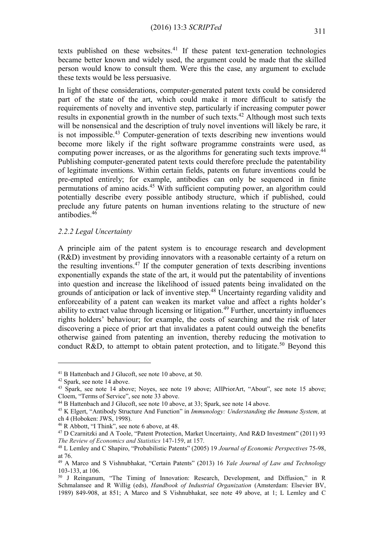texts published on these websites. $41$  If these patent text-generation technologies became better known and widely used, the argument could be made that the skilled person would know to consult them. Were this the case, any argument to exclude these texts would be less persuasive.

In light of these considerations, computer-generated patent texts could be considered part of the state of the art, which could make it more difficult to satisfy the requirements of novelty and inventive step, particularly if increasing computer power results in exponential growth in the number of such texts.<sup>42</sup> Although most such texts will be nonsensical and the description of truly novel inventions will likely be rare, it is not impossible.<sup>43</sup> Computer-generation of texts describing new inventions would become more likely if the right software programme constraints were used, as computing power increases, or as the algorithms for generating such texts improve.<sup>44</sup> Publishing computer-generated patent texts could therefore preclude the patentability of legitimate inventions. Within certain fields, patents on future inventions could be pre-empted entirely; for example, antibodies can only be sequenced in finite permutations of amino acids.<sup>45</sup> With sufficient computing power, an algorithm could potentially describe every possible antibody structure, which if published, could preclude any future patents on human inventions relating to the structure of new antibodies.<sup>46</sup>

### *2.2.2 Legal Uncertainty*

A principle aim of the patent system is to encourage research and development (R&D) investment by providing innovators with a reasonable certainty of a return on the resulting inventions.<sup>47</sup> If the computer generation of texts describing inventions exponentially expands the state of the art, it would put the patentability of inventions into question and increase the likelihood of issued patents being invalidated on the grounds of anticipation or lack of inventive step.<sup>48</sup> Uncertainty regarding validity and enforceability of a patent can weaken its market value and affect a rights holder's ability to extract value through licensing or litigation.<sup>49</sup> Further, uncertainty influences rights holders' behaviour; for example, the costs of searching and the risk of later discovering a piece of prior art that invalidates a patent could outweigh the benefits otherwise gained from patenting an invention, thereby reducing the motivation to conduct R&D, to attempt to obtain patent protection, and to litigate.<sup>50</sup> Beyond this

<sup>&</sup>lt;sup>41</sup> B Hattenbach and J Glucoft, see note [10](#page-2-1) above, at 50.

<sup>42</sup> Spark, see note 14 above.

<sup>43</sup> Spark, see note 14 above; Noyes, see note 19 above; AllPriorArt, "About", see note 15 above; Cloem, "Terms of Service", see note 33 above.

<sup>44</sup> B Hattenbach and J Glucoft, see note [10](#page-2-1) above, at 33; Spark, see note 14 above.

<sup>45</sup> K Elgert, "Antibody Structure And Function" in *Immunology: Understanding the Immune System,* at ch 4 (Hoboken: JWS, 1998).

<sup>46</sup> R Abbott, "I Think", see note [6](#page-1-1) above, at 48.

<sup>47</sup> D Czarnitzki and A Toole, "Patent Protection, Market Uncertainty, And R&D Investment" (2011) 93 *The Review of Economics and Statistics* 147-159, at 157.

<sup>48</sup> L Lemley and C Shapiro, "Probabilistic Patents" (2005) 19 *Journal of Economic Perspectives* 75-98, at 76.

<sup>49</sup> A Marco and S Vishnubhakat, "Certain Patents" (2013) 16 *Yale Journal of Law and Technology*  103-133, at 106.

<sup>50</sup> J Reinganum, "The Timing of Innovation: Research, Development, and Diffusion," in R Schmalansee and R Willig (eds), *Handbook of Industrial Organization* (Amsterdam: Elsevier BV, 1989) 849-908, at 851; A Marco and S Vishnubhakat, see note 49 above, at 1; L Lemley and C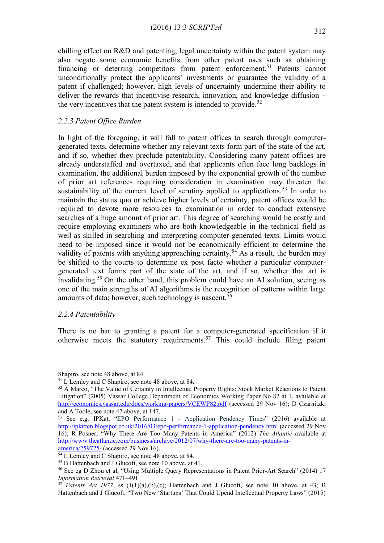chilling effect on R&D and patenting, legal uncertainty within the patent system may also negate some economic benefits from other patent uses such as obtaining financing or deterring competitors from patent enforcement.<sup>51</sup> Patents cannot unconditionally protect the applicants' investments or guarantee the validity of a patent if challenged; however, high levels of uncertainty undermine their ability to deliver the rewards that incentivise research, innovation, and knowledge diffusion – the very incentives that the patent system is intended to provide.<sup>52</sup>

### *2.2.3 Patent Office Burden*

<span id="page-7-0"></span>In light of the foregoing, it will fall to patent offices to search through computergenerated texts, determine whether any relevant texts form part of the state of the art, and if so, whether they preclude patentability. Considering many patent offices are already understaffed and overtaxed, and that applicants often face long backlogs in examination, the additional burden imposed by the exponential growth of the number of prior art references requiring consideration in examination may threaten the sustainability of the current level of scrutiny applied to applications.<sup>53</sup> In order to maintain the status quo or achieve higher levels of certainty, patent offices would be required to devote more resources to examination in order to conduct extensive searches of a huge amount of prior art. This degree of searching would be costly and require employing examiners who are both knowledgeable in the technical field as well as skilled in searching and interpreting computer-generated texts. Limits would need to be imposed since it would not be economically efficient to determine the validity of patents with anything approaching certainty.<sup>54</sup> As a result, the burden may be shifted to the courts to determine ex post facto whether a particular computergenerated text forms part of the state of the art, and if so, whether that art is invalidating.<sup>55</sup> On the other hand, this problem could have an AI solution, seeing as one of the main strengths of AI algorithms is the recognition of patterns within large amounts of data; however, such technology is nascent.<sup>56</sup>

### *2.2.4 Patentability*

1

There is no bar to granting a patent for a computer-generated specification if it otherwise meets the statutory requirements.<sup>57</sup> This could include filing patent

[america/259725/](http://www.theatlantic.com/business/archive/2012/07/why-there-are-too-many-patents-in-america/259725/) (accessed 29 Nov 16).

Shapiro, see note 48 above, at 84.

<sup>51</sup> L Lemley and C Shapiro, see note 48 above, at 84.

<sup>&</sup>lt;sup>52</sup> A Marco, "The Value of Certainty in Intellectual Property Rights: Stock Market Reactions to Patent Litigation" (2005) Vassar College Department of Economics Working Paper No 82 at 1, available at <http://economics.vassar.edu/docs/working-papers/VCEWP82.pdf> (accessed 29 Nov 16); D Czarnitzki and A Toole, see note 47 above, at 147.

<sup>53</sup> See e.g. IPKat, "EPO Performance 1 - Application Pendency Times" (2016) available at <http://ipkitten.blogspot.co.uk/2016/03/epo-performance-1-application-pendency.html> (accessed 29 Nov 16); R Posner, "Why There Are Too Many Patents in America" (2012) *The Atlantic* available at [http://www.theatlantic.com/business/archive/2012/07/why-there-are-too-many-patents-in-](http://www.theatlantic.com/business/archive/2012/07/why-there-are-too-many-patents-in-america/259725/)

<sup>&</sup>lt;sup>54</sup> L Lemley and C Shapiro, see note 48 above, at 84.

<sup>55</sup> B Hattenbach and J Glucoft, see note [10](#page-2-1) above, at 41.

<sup>56</sup> See eg D Zhou et al, "Using Multiple Query Representations in Patent Prior-Art Search" (2014) 17 *Information Retrieval* 471–491.

 $57$  *Patents Act 1977*, ss  $(1(1)(a),(b),(c))$ ; Hattenbach and J Glucoft, see note [10](#page-2-1) above, at 43; B Hattenbach and J Glucoft, "Two New 'Startups' That Could Upend Intellectual Property Laws" (2015)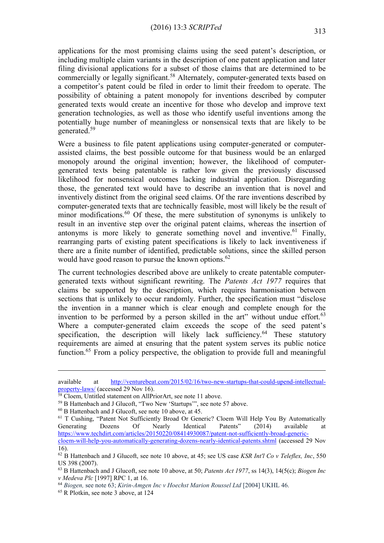applications for the most promising claims using the seed patent's description, or including multiple claim variants in the description of one patent application and later filing divisional applications for a subset of those claims that are determined to be commercially or legally significant.<sup>58</sup> Alternately, computer-generated texts based on a competitor's patent could be filed in order to limit their freedom to operate. The possibility of obtaining a patent monopoly for inventions described by computer generated texts would create an incentive for those who develop and improve text generation technologies, as well as those who identify useful inventions among the potentially huge number of meaningless or nonsensical texts that are likely to be generated.<sup>59</sup>

Were a business to file patent applications using computer-generated or computerassisted claims, the best possible outcome for that business would be an enlarged monopoly around the original invention; however, the likelihood of computergenerated texts being patentable is rather low given the previously discussed likelihood for nonsensical outcomes lacking industrial application. Disregarding those, the generated text would have to describe an invention that is novel and inventively distinct from the original seed claims. Of the rare inventions described by computer-generated texts that are technically feasible, most will likely be the result of minor modifications. $^{60}$  Of these, the mere substitution of synonyms is unlikely to result in an inventive step over the original patent claims, whereas the insertion of antonyms is more likely to generate something novel and inventive.<sup>61</sup> Finally, rearranging parts of existing patent specifications is likely to lack inventiveness if there are a finite number of identified, predictable solutions, since the skilled person would have good reason to pursue the known options.<sup>62</sup>

<span id="page-8-0"></span>The current technologies described above are unlikely to create patentable computergenerated texts without significant rewriting. The *Patents Act 1977* requires that claims be supported by the description, which requires harmonisation between sections that is unlikely to occur randomly. Further, the specification must "disclose the invention in a manner which is clear enough and complete enough for the invention to be performed by a person skilled in the art" without undue effort. $63$ Where a computer-generated claim exceeds the scope of the seed patent's specification, the description will likely lack sufficiency.<sup>64</sup> These statutory requirements are aimed at ensuring that the patent system serves its public notice function.<sup>65</sup> From a policy perspective, the obligation to provide full and meaningful

available at [http://venturebeat.com/2015/02/16/two-new-startups-that-could-upend-intellectual](http://venturebeat.com/2015/02/16/two-new-startups-that-could-upend-intellectual-property-laws/)[property-laws/](http://venturebeat.com/2015/02/16/two-new-startups-that-could-upend-intellectual-property-laws/) (accessed 29 Nov 16).

<sup>&</sup>lt;sup>58</sup> Cloem, Untitled statement on AllPriorArt, see note [11](#page-2-0) above.

<sup>59</sup> B Hattenbach and J Glucoft, "Two New 'Startups'", see note 57 above.

<sup>60</sup> B Hattenbach and J Glucoft, see note [10](#page-2-1) above, at 45.

<sup>&</sup>lt;sup>61</sup> T Cushing, "Patent Not Sufficiently Broad Or Generic? Cloem Will Help You By Automatically Generating Dozens Of Nearly Identical Patents" (2014) available at [https://www.techdirt.com/articles/20150220/08414930087/patent-not-sufficiently-broad-generic-](https://www.techdirt.com/articles/20150220/08414930087/patent-not-sufficiently-broad-generic-cloem-will-help-you-automatically-generating-dozens-nearly-identical-patents.shtml)

[cloem-will-help-you-automatically-generating-dozens-nearly-identical-patents.shtml](https://www.techdirt.com/articles/20150220/08414930087/patent-not-sufficiently-broad-generic-cloem-will-help-you-automatically-generating-dozens-nearly-identical-patents.shtml) (accessed 29 Nov 16).

<sup>62</sup> B Hattenbach and J Glucoft, see note [10](#page-2-1) above, at 45; see US case *KSR Int'l Co v Teleflex, Inc*, 550 US 398 (2007).

<sup>63</sup> B Hattenbach and J Glucoft, see note [10](#page-2-1) above, at 50; *Patents Act 1977*, ss 14(3), 14(5(c); *Biogen Inc v Medeva Plc* [1997] RPC 1, at 16.

<sup>64</sup> *Biogen,* see note [63;](#page-8-0) *Kirin-Amgen Inc v Hoechst Marion Roussel Ltd* [2004] UKHL 46.

<sup>65</sup> R Plotkin, see note [3](#page-1-2) above, at 124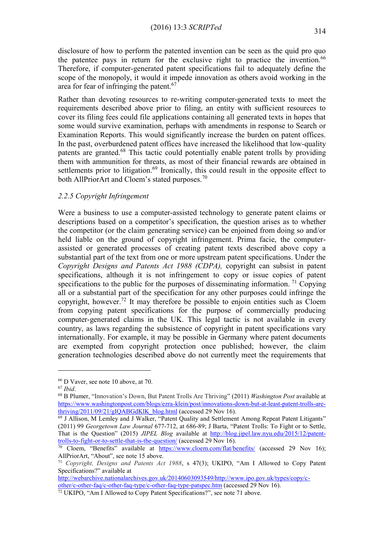disclosure of how to perform the patented invention can be seen as the quid pro quo the patentee pays in return for the exclusive right to practice the invention.<sup>66</sup> Therefore, if computer-generated patent specifications fail to adequately define the scope of the monopoly, it would it impede innovation as others avoid working in the area for fear of infringing the patent.<sup>67</sup>

Rather than devoting resources to re-writing computer-generated texts to meet the requirements described above prior to filing, an entity with sufficient resources to cover its filing fees could file applications containing all generated texts in hopes that some would survive examination, perhaps with amendments in response to Search or Examination Reports. This would significantly increase the burden on patent offices. In the past, overburdened patent offices have increased the likelihood that low-quality patents are granted.<sup>68</sup> This tactic could potentially enable patent trolls by providing them with ammunition for threats, as most of their financial rewards are obtained in settlements prior to litigation.<sup>69</sup> Ironically, this could result in the opposite effect to both AllPriorArt and Cloem's stated purposes.<sup>70</sup>

# *2.2.5 Copyright Infringement*

Were a business to use a computer-assisted technology to generate patent claims or descriptions based on a competitor's specification, the question arises as to whether the competitor (or the claim generating service) can be enjoined from doing so and/or held liable on the ground of copyright infringement. Prima facie, the computerassisted or generated processes of creating patent texts described above copy a substantial part of the text from one or more upstream patent specifications. Under the *Copyright Designs and Patents Act 1988 (CDPA),* copyright can subsist in patent specifications, although it is not infringement to copy or issue copies of patent specifications to the public for the purposes of disseminating information. <sup>71</sup> Copying all or a substantial part of the specification for any other purposes could infringe the copyright, however.<sup>72</sup> It may therefore be possible to enjoin entities such as Cloem from copying patent specifications for the purpose of commercially producing computer-generated claims in the UK. This legal tactic is not available in every country, as laws regarding the subsistence of copyright in patent specifications vary internationally. For example, it may be possible in Germany where patent documents are exempted from copyright protection once published; however, the claim generation technologies described above do not currently meet the requirements that

<sup>66</sup> D Vaver, see note [10](#page-2-1) above, at 70.

<sup>67</sup> *Ibid*.

<sup>68</sup> B Plumer, "Innovation's Down, But Patent Trolls Are Thriving" (2011) *Washington Post* available at [https://www.washingtonpost.com/blogs/ezra-klein/post/innovations-down-but-at-least-patent-trolls-are](https://www.washingtonpost.com/blogs/ezra-klein/post/innovations-down-but-at-least-patent-trolls-are-thriving/2011/09/21/gIQABGdKlK_blog.html)[thriving/2011/09/21/gIQABGdKlK\\_blog.html](https://www.washingtonpost.com/blogs/ezra-klein/post/innovations-down-but-at-least-patent-trolls-are-thriving/2011/09/21/gIQABGdKlK_blog.html) (accessed 29 Nov 16).

<sup>69</sup> J Allison, M Lemley and J Walker, "Patent Quality and Settlement Among Repeat Patent Litigants" (2011) 99 *Georgetown Law Journal* 677-712, at 686-89; J Barta, "Patent Trolls: To Fight or to Settle, That is the Question" (2015) *JIPEL Blog* available at [http://blog.jipel.law.nyu.edu/2015/12/patent](http://blog.jipel.law.nyu.edu/2015/12/patent-trolls-to-fight-or-to-settle-that-is-the-question/)[trolls-to-fight-or-to-settle-that-is-the-question/](http://blog.jipel.law.nyu.edu/2015/12/patent-trolls-to-fight-or-to-settle-that-is-the-question/) (accessed 29 Nov 16).

 $\frac{70}{70}$  Cloem, "Benefits" available at <https://www.cloem.com/flat/benefits/> (accessed 29 Nov 16); AllPriorArt, "About", see note 15 above.

<sup>71</sup> *Copyright, Designs and Patents Act 1988*, s 47(3); UKIPO, "Am I Allowed to Copy Patent Specifications?" available at

[http://webarchive.nationalarchives.gov.uk/20140603093549/http://www.ipo.gov.uk/types/copy/c](http://webarchive.nationalarchives.gov.uk/20140603093549/http:/www.ipo.gov.uk/types/copy/c-other/c-other-faq/c-other-faq-type/c-other-faq-type-patspec.htm)[other/c-other-faq/c-other-faq-type/c-other-faq-type-patspec.htm](http://webarchive.nationalarchives.gov.uk/20140603093549/http:/www.ipo.gov.uk/types/copy/c-other/c-other-faq/c-other-faq-type/c-other-faq-type-patspec.htm) (accessed 29 Nov 16).

 $72$  UKIPO, "Am I Allowed to Copy Patent Specifications?", see note 71 above.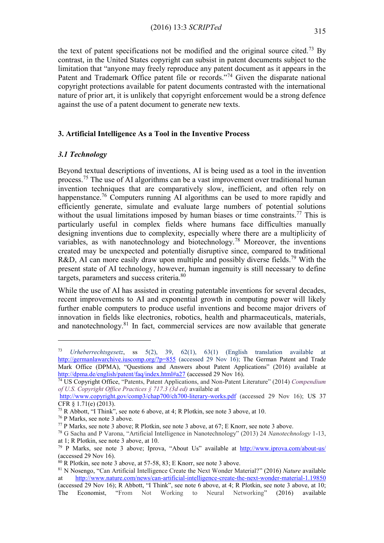the text of patent specifications not be modified and the original source cited.<sup>73</sup> By contrast, in the United States copyright can subsist in patent documents subject to the limitation that "anyone may freely reproduce any patent document as it appears in the Patent and Trademark Office patent file or records."<sup>74</sup> Given the disparate national copyright protections available for patent documents contrasted with the international nature of prior art, it is unlikely that copyright enforcement would be a strong defence against the use of a patent document to generate new texts.

# **3. Artificial Intelligence As a Tool in the Inventive Process**

### *3.1 Technology*

Beyond textual descriptions of inventions, AI is being used as a tool in the invention process.<sup>75</sup> The use of AI algorithms can be a vast improvement over traditional human invention techniques that are comparatively slow, inefficient, and often rely on happenstance.<sup>76</sup> Computers running AI algorithms can be used to more rapidly and efficiently generate, simulate and evaluate large numbers of potential solutions without the usual limitations imposed by human biases or time constraints.<sup>77</sup> This is particularly useful in complex fields where humans face difficulties manually designing inventions due to complexity, especially where there are a multiplicity of variables, as with nanotechnology and biotechnology.<sup>78</sup> Moreover, the inventions created may be unexpected and potentially disruptive since, compared to traditional R&D, AI can more easily draw upon multiple and possibly diverse fields.<sup>79</sup> With the present state of AI technology, however, human ingenuity is still necessary to define targets, parameters and success criteria.<sup>80</sup>

While the use of AI has assisted in creating patentable inventions for several decades, recent improvements to AI and exponential growth in computing power will likely further enable computers to produce useful inventions and become major drivers of innovation in fields like electronics, robotics, health and pharmaceuticals, materials, and nanotechnology.<sup>81</sup> In fact, commercial services are now available that generate

<sup>73</sup> *Urheberrechtsgesetz*, ss 5(2), 39, 62(1), 63(1) (English translation available at <http://germanlawarchive.iuscomp.org/?p=855> (accessed 29 Nov 16); The German Patent and Trade Mark Office (DPMA), "Questions and Answers about Patent Applications" (2016) available at <http://dpma.de/english/patent/faq/index.html#a27> (accessed 29 Nov 16).

<sup>74</sup> US Copyright Office, "Patents, Patent Applications, and Non-Patent Literature" (2014) *Compendium of U.S. Copyright Office Practices § 717.3 (3d ed)* available at

<http://www.copyright.gov/comp3/chap700/ch700-literary-works.pdf> (accessed 29 Nov 16); US 37 CFR § 1.71(e) (2013).

<sup>75</sup> R Abbott, "I Think", see note [6](#page-1-1) above, at 4; R Plotkin, see note [3](#page-1-2) above, at 10.

<sup>76</sup> P Marks, see note [3](#page-1-2) above.

<sup>77</sup> P Marks, see note [3](#page-1-2) above; R Plotkin, see note [3](#page-1-2) above, at 67; E Knorr, see note [3](#page-1-2) above.

<sup>78</sup> G Sacha and P Varona, "Artificial Intelligence in Nanotechnology" (2013) 24 *Nanotechnology* 1-13, at 1; R Plotkin, see note [3](#page-1-2) above, at 10.

<sup>79</sup> P Marks, see note [3](#page-1-2) above; Iprova, "About Us" available at <http://www.iprova.com/about-us/> (accessed 29 Nov 16).

 $80$  R Plotkin, see note [3](#page-1-2) above, at 57-58, 83; E Knorr, see note 3 above.

<sup>81</sup> N Nosengo, "Can Artificial Intelligence Create the Next Wonder Material?" (2016) *Nature* available at <http://www.nature.com/news/can-artificial-intelligence-create-the-next-wonder-material-1.19850> (accessed 29 Nov 16); R Abbott, "I Think", see note [6](#page-1-1) above, at 4; R Plotkin, see note [3](#page-1-2) above, at 10;

The Economist, "From Not Working to Neural Networking" (2016) available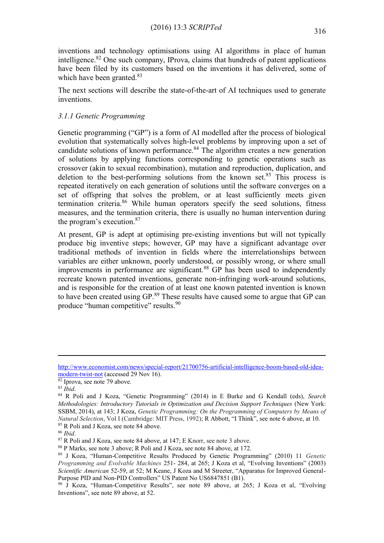inventions and technology optimisations using AI algorithms in place of human intelligence. $82$  One such company, IProva, claims that hundreds of patent applications have been filed by its customers based on the inventions it has delivered, some of which have been granted. $83$ 

The next sections will describe the state-of-the-art of AI techniques used to generate inventions.

# *3.1.1 Genetic Programming*

Genetic programming ("GP") is a form of AI modelled after the process of biological evolution that systematically solves high-level problems by improving upon a set of candidate solutions of known performance.<sup>84</sup> The algorithm creates a new generation of solutions by applying functions corresponding to genetic operations such as crossover (akin to sexual recombination), mutation and reproduction, duplication, and deletion to the best-performing solutions from the known set.<sup>85</sup> This process is repeated iteratively on each generation of solutions until the software converges on a set of offspring that solves the problem, or at least sufficiently meets given termination criteria.<sup>86</sup> While human operators specify the seed solutions, fitness measures, and the termination criteria, there is usually no human intervention during the program's execution.<sup>87</sup>

At present, GP is adept at optimising pre-existing inventions but will not typically produce big inventive steps; however, GP may have a significant advantage over traditional methods of invention in fields where the interrelationships between variables are either unknown, poorly understood, or possibly wrong, or where small improvements in performance are significant.<sup>88</sup> GP has been used to independently recreate known patented inventions, generate non-infringing work-around solutions, and is responsible for the creation of at least one known patented invention is known to have been created using GP.<sup>89</sup> These results have caused some to argue that GP can produce "human competitive" results.<sup>90</sup>

<u>.</u>

[http://www.economist.com/news/special-report/21700756-artificial-intelligence-boom-based-old-idea](http://www.economist.com/news/special-report/21700756-artificial-intelligence-boom-based-old-idea-modern-twist-not)[modern-twist-not](http://www.economist.com/news/special-report/21700756-artificial-intelligence-boom-based-old-idea-modern-twist-not) (accessed 29 Nov 16).

<sup>82</sup> Iprova, see note 79 above.

<sup>83</sup> *Ibid*.

<sup>84</sup> R Poli and J Koza, "Genetic Programming" (2014) in E Burke and G Kendall (eds), *Search Methodologies: Introductory Tutorials in Optimization and Decision Support Techniques* (New York: SSBM, 2014), at 143; J Koza, *Genetic Programming: On the Programming of Computers by Means of Natural Selection*, Vol I (Cambridge: MIT Press, 1992); R Abbott, "I Think", see note [6](#page-1-1) above, at 10. <sup>85</sup> R Poli and J Koza, see note 84 above.

<sup>86</sup> *Ibid*.

<sup>87</sup> R Poli and J Koza, see note 84 above, at 147; E Knorr, see note [3](#page-1-2) above.

<sup>88</sup> P Marks, see note [3](#page-1-2) above; R Poli and J Koza, see note 84 above, at 172.

<sup>89</sup> J Koza, "Human-Competitive Results Produced by Genetic Programming" (2010) 11 *Genetic Programming and Evolvable Machines* 251- 284, at 265; J Koza et al, "Evolving Inventions" (2003) *Scientific American* 52-59, at 52; M Keane, J Koza and M Streeter, "Apparatus for Improved General-Purpose PID and Non-PID Controllers" US Patent No US6847851 (B1).

<sup>90</sup> J Koza, "Human-Competitive Results", see note 89 above, at 265; J Koza et al, "Evolving Inventions", see note 89 above, at 52.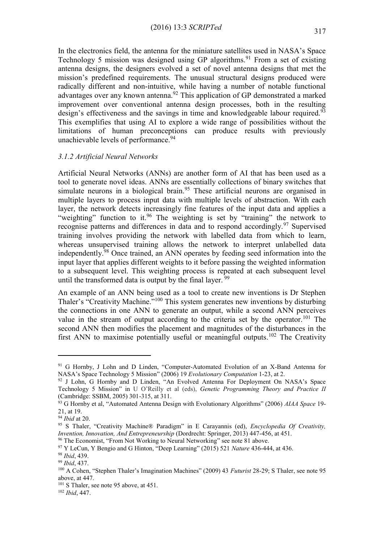In the electronics field, the antenna for the miniature satellites used in NASA's Space Technology 5 mission was designed using GP algorithms.<sup>91</sup> From a set of existing antenna designs, the designers evolved a set of novel antenna designs that met the mission's predefined requirements. The unusual structural designs produced were radically different and non-intuitive, while having a number of notable functional advantages over any known antenna.<sup>92</sup> This application of GP demonstrated a marked improvement over conventional antenna design processes, both in the resulting design's effectiveness and the savings in time and knowledgeable labour required.<sup>93</sup> This exemplifies that using AI to explore a wide range of possibilities without the limitations of human preconceptions can produce results with previously unachievable levels of performance.<sup>94</sup>

### *3.1.2 Artificial Neural Networks*

Artificial Neural Networks (ANNs) are another form of AI that has been used as a tool to generate novel ideas. ANNs are essentially collections of binary switches that simulate neurons in a biological brain.<sup>95</sup> These artificial neurons are organised in multiple layers to process input data with multiple levels of abstraction. With each layer, the network detects increasingly fine features of the input data and applies a "weighting" function to it.<sup>96</sup> The weighting is set by "training" the network to recognise patterns and differences in data and to respond accordingly.<sup>97</sup> Supervised training involves providing the network with labelled data from which to learn, whereas unsupervised training allows the network to interpret unlabelled data independently.<sup>98</sup> Once trained, an ANN operates by feeding seed information into the input layer that applies different weights to it before passing the weighted information to a subsequent level. This weighting process is repeated at each subsequent level until the transformed data is output by the final layer.  $99$ 

An example of an ANN being used as a tool to create new inventions is Dr Stephen Thaler's "Creativity Machine.<sup>",100</sup> This system generates new inventions by disturbing the connections in one ANN to generate an output, while a second ANN perceives value in the stream of output according to the criteria set by the operator.<sup>101</sup> The second ANN then modifies the placement and magnitudes of the disturbances in the first ANN to maximise potentially useful or meaningful outputs.<sup>102</sup> The Creativity

<u>.</u>

<sup>&</sup>lt;sup>91</sup> G Hornby, J Lohn and D Linden, "Computer-Automated Evolution of an X-Band Antenna for NASA's Space Technology 5 Mission" (2006) 19 *Evolutionary Computation* 1-23, at 2.

<sup>92</sup> J Lohn, G Hornby and D Linden, "An Evolved Antenna For Deployment On NASA's Space Technology 5 Mission" in U O'Reilly et al (eds), *Genetic Programming Theory and Practice II*  (Cambridge: SSBM, 2005) 301-315, at 311.

<sup>93</sup> G Hornby et al, "Automated Antenna Design with Evolutionary Algorithms" (2006) *AIAA Space* 19- 21, at 19.

<sup>94</sup> *Ibid* at 20.

<sup>95</sup> S Thaler, "Creativity Machine® Paradigm" in E Carayannis (ed), *Encyclopedia Of Creativity, Invention, Innovation, And Entrepreneurship* (Dordrecht: Springer, 2013) 447-456, at 451.

<sup>&</sup>lt;sup>96</sup> The Economist, "From Not Working to Neural Networking" see note 81 above.

<sup>97</sup> Y LeCun, Y Bengio and G Hinton, "Deep Learning" (2015) 521 *Nature* 436-444, at 436.

<sup>98</sup> *Ibid*, 439.

<sup>99</sup> *Ibid*, 437.

<sup>100</sup> A Cohen, "Stephen Thaler's Imagination Machines" (2009) 43 *Futurist* 28-29; S Thaler, see note 95 above, at 447.

 $101$  S Thaler, see note 95 above, at 451.

<sup>102</sup> *Ibid*, 447.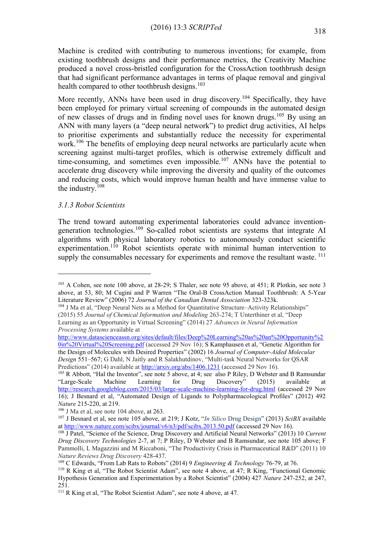Machine is credited with contributing to numerous inventions; for example, from existing toothbrush designs and their performance metrics, the Creativity Machine produced a novel cross-bristled configuration for the CrossAction toothbrush design that had significant performance advantages in terms of plaque removal and gingival health compared to other toothbrush designs.<sup>103</sup>

More recently, ANNs have been used in drug discovery.<sup>104</sup> Specifically, they have been employed for primary virtual screening of compounds in the automated design of new classes of drugs and in finding novel uses for known drugs.<sup>105</sup> By using an ANN with many layers (a "deep neural network") to predict drug activities, AI helps to prioritise experiments and substantially reduce the necessity for experimental work.<sup>106</sup> The benefits of employing deep neural networks are particularly acute when screening against multi-target profiles, which is otherwise extremely difficult and time-consuming, and sometimes even impossible.<sup>107</sup> ANNs have the potential to accelerate drug discovery while improving the diversity and quality of the outcomes and reducing costs, which would improve human health and have immense value to the industry.<sup>108</sup>

### *3.1.3 Robot Scientists*

1

The trend toward automating experimental laboratories could advance inventiongeneration technologies.<sup>109</sup> So-called robot scientists are systems that integrate AI algorithms with physical laboratory robotics to autonomously conduct scientific experimentation.<sup>110</sup> Robot scientists operate with minimal human intervention to supply the consumables necessary for experiments and remove the resultant waste. <sup>111</sup>

<sup>103</sup> A Cohen, see note 100 above, at 28-29; S Thaler, see note 95 above, at 451; R Plotkin, see note [3](#page-1-2) above, at 53, 80; M Cugini and P Warren "The Oral-B CrossAction Manual Toothbrush: A 5-Year Literature Review" (2006) 72 *Journal of the Canadian Dental Association* 323-323k.

<sup>&</sup>lt;sup>104</sup> J Ma et al, "Deep Neural Nets as a Method for Quantitative Structure–Activity Relationships" (2015) 55 *Journal of Chemical Information and Modeling* 263-274; T Unterthiner et al, "Deep Learning as an Opportunity in Virtual Screening" (2014) 27 *Advances in Neural Information Processing Systems* available at

[http://www.datascienceassn.org/sites/default/files/Deep%20Learning%20as%20an%20Opportunity%2](http://www.datascienceassn.org/sites/default/files/Deep%20Learning%20as%20an%20Opportunity%20in%20Virtual%20Screening.pdf) [0in%20Virtual%20Screening.pdf](http://www.datascienceassn.org/sites/default/files/Deep%20Learning%20as%20an%20Opportunity%20in%20Virtual%20Screening.pdf) (accessed 29 Nov 16); S Kamphausen et al, "Genetic Algorithm for the Design of Molecules with Desired Properties" (2002) 16 *Journal of Computer-Aided Molecular Design* 551–567; G Dahl, N Jaitly and R Salakhutdinov, "Multi-task Neural Networks for QSAR Predictions" (2014) available at <http://arxiv.org/abs/1406.1231> (accessed 29 Nov 16).

<sup>&</sup>lt;sup>105</sup> R Abbott, "Hal the Inventor", see note 5 above, at 4; see also P Riley, D Webster and B Ramsundar "Large-Scale Machine Learning for Drug Discovery" (2015) available at <http://research.googleblog.com/2015/03/large-scale-machine-learning-for-drug.html> (accessed 29 Nov 16); J Besnard et al, "Automated Design of Ligands to Polypharmacological Profiles" (2012) 492 *Nature* 215-220, at 219.

<sup>106</sup> J Ma et al, see note 104 above, at 263.

<sup>107</sup> J Besnard et al, see note 105 above, at 219; J Kotz, "*In Silico* Drug Design" (2013) *SciBX* available a[t http://www.nature.com/scibx/journal/v6/n3/pdf/scibx.2013.50.pdf](http://www.nature.com/scibx/journal/v6/n3/pdf/scibx.2013.50.pdf) (accessed 29 Nov 16).

<sup>108</sup> J Patel, "Science of the Science, Drug Discovery and Artificial Neural Networks" (2013) 10 *Current Drug Discovery Technologies* 2-7, at 7; P Riley, D Webster and B Ramsundar, see note 105 above; F Pammolli, L Magazzini and M Riccaboni, "The Productivity Crisis in Pharmaceutical R&D" (2011) 10 *Nature Reviews Drug Discovery* 428-437.

<sup>109</sup> C Edwards, "From Lab Rats to Robots" (2014) 9 *Engineering & Technology* 76-79, at 76.

<sup>&</sup>lt;sup>110</sup> R King et al, "The Robot Scientist Adam", see note 4 above, at 47; R King, "Functional Genomic Hypothesis Generation and Experimentation by a Robot Scientist" (2004) 427 *Nature* 247-252, at 247, 251.

<sup>&</sup>lt;sup>111</sup> R King et al, "The Robot Scientist Adam", see note 4 above, at 47.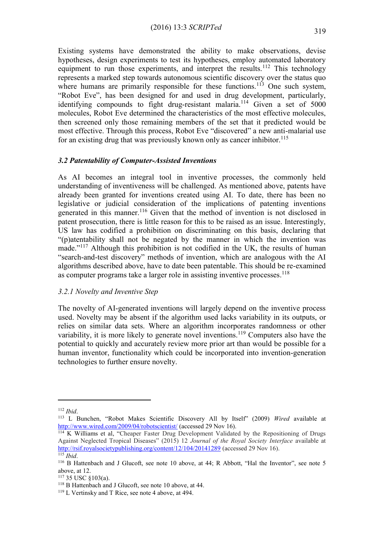Existing systems have demonstrated the ability to make observations, devise hypotheses, design experiments to test its hypotheses, employ automated laboratory equipment to run those experiments, and interpret the results.<sup>112</sup> This technology represents a marked step towards autonomous scientific discovery over the status quo where humans are primarily responsible for these functions.<sup>113</sup> One such system, "Robot Eve", has been designed for and used in drug development, particularly, identifying compounds to fight drug-resistant malaria.<sup>114</sup> Given a set of  $5000$ molecules, Robot Eve determined the characteristics of the most effective molecules, then screened only those remaining members of the set that it predicted would be most effective. Through this process, Robot Eve "discovered" a new anti-malarial use for an existing drug that was previously known only as cancer inhibitor.<sup>115</sup>

### *3.2 Patentability of Computer-Assisted Inventions*

As AI becomes an integral tool in inventive processes, the commonly held understanding of inventiveness will be challenged. As mentioned above, patents have already been granted for inventions created using AI. To date, there has been no legislative or judicial consideration of the implications of patenting inventions generated in this manner.<sup>116</sup> Given that the method of invention is not disclosed in patent prosecution, there is little reason for this to be raised as an issue. Interestingly, US law has codified a prohibition on discriminating on this basis, declaring that "(p)atentability shall not be negated by the manner in which the invention was made."<sup>117</sup> Although this prohibition is not codified in the UK, the results of human "search-and-test discovery" methods of invention, which are analogous with the AI algorithms described above, have to date been patentable. This should be re-examined as computer programs take a larger role in assisting inventive processes.<sup>118</sup>

### *3.2.1 Novelty and Inventive Step*

The novelty of AI-generated inventions will largely depend on the inventive process used. Novelty may be absent if the algorithm used lacks variability in its outputs, or relies on similar data sets. Where an algorithm incorporates randomness or other variability, it is more likely to generate novel inventions.<sup>119</sup> Computers also have the potential to quickly and accurately review more prior art than would be possible for a human inventor, functionality which could be incorporated into invention-generation technologies to further ensure novelty.

<sup>112</sup> *Ibid*.

<sup>113</sup> L Bunchen, "Robot Makes Scientific Discovery All by Itself" (2009) *Wired* available at <http://www.wired.com/2009/04/robotscientist/> (accessed 29 Nov 16).

 $114$  K Williams et al, "Cheaper Faster Drug Development Validated by the Repositioning of Drugs Against Neglected Tropical Diseases" (2015) 12 *Journal of the Royal Society Interface* available at <http://rsif.royalsocietypublishing.org/content/12/104/20141289> (accessed 29 Nov 16). <sup>115</sup> *Ibid*.

<sup>116</sup> B Hattenbach and J Glucoft, see note [10](#page-2-1) above, at 44; R Abbott, "Hal the Inventor", see note 5 above, at 12.

<sup>117</sup> 35 USC §103(a).

<sup>&</sup>lt;sup>118</sup> B Hattenbach and J Glucoft, see note [10](#page-2-1) above, at 44.

<sup>119</sup> L Vertinsky and T Rice, see note 4 above, at 494.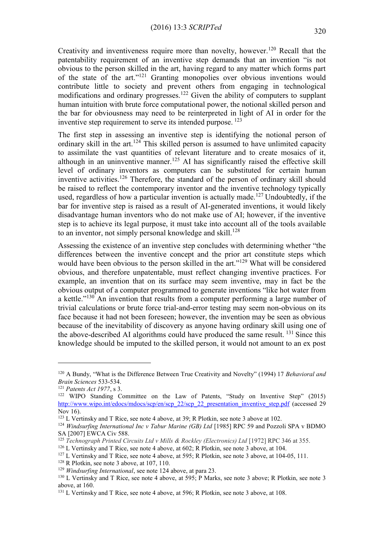Creativity and inventiveness require more than novelty, however.<sup>120</sup> Recall that the patentability requirement of an inventive step demands that an invention "is not obvious to the person skilled in the art, having regard to any matter which forms part of the state of the art."<sup>121</sup> Granting monopolies over obvious inventions would contribute little to society and prevent others from engaging in technological modifications and ordinary progresses.<sup>122</sup> Given the ability of computers to supplant human intuition with brute force computational power, the notional skilled person and the bar for obviousness may need to be reinterpreted in light of AI in order for the inventive step requirement to serve its intended purpose. <sup>123</sup>

The first step in assessing an inventive step is identifying the notional person of ordinary skill in the art.<sup>124</sup> This skilled person is assumed to have unlimited capacity to assimilate the vast quantities of relevant literature and to create mosaics of it, although in an uninventive manner.<sup>125</sup> AI has significantly raised the effective skill level of ordinary inventors as computers can be substituted for certain human inventive activities.<sup>126</sup> Therefore, the standard of the person of ordinary skill should be raised to reflect the contemporary inventor and the inventive technology typically used, regardless of how a particular invention is actually made.<sup>127</sup> Undoubtedly, if the bar for inventive step is raised as a result of AI-generated inventions, it would likely disadvantage human inventors who do not make use of AI; however, if the inventive step is to achieve its legal purpose, it must take into account all of the tools available to an inventor, not simply personal knowledge and skill.<sup>128</sup>

Assessing the existence of an inventive step concludes with determining whether "the differences between the inventive concept and the prior art constitute steps which would have been obvious to the person skilled in the art."<sup>129</sup> What will be considered obvious, and therefore unpatentable, must reflect changing inventive practices. For example, an invention that on its surface may seem inventive, may in fact be the obvious output of a computer programmed to generate inventions "like hot water from a kettle."<sup>130</sup> An invention that results from a computer performing a large number of trivial calculations or brute force trial-and-error testing may seem non-obvious on its face because it had not been foreseen; however, the invention may be seen as obvious because of the inevitability of discovery as anyone having ordinary skill using one of the above-described AI algorithms could have produced the same result. <sup>131</sup> Since this knowledge should be imputed to the skilled person, it would not amount to an ex post

<sup>120</sup> A Bundy, "What is the Difference Between True Creativity and Novelty" (1994) 17 *Behavioral and Brain Sciences* 533-534.

<sup>121</sup> *Patents Act 1977*, s 3.

<sup>122</sup> WIPO Standing Committee on the Law of Patents, "Study on Inventive Step" (2015) [http://www.wipo.int/edocs/mdocs/scp/en/scp\\_22/scp\\_22\\_presentation\\_inventive\\_step.pdf](http://www.wipo.int/edocs/mdocs/scp/en/scp_22/scp_22_presentation_inventive_step.pdf) (accessed 29 Nov 16).

<sup>&</sup>lt;sup>123</sup> L Vertinsky and T Rice, see note 4 above, at [3](#page-1-2)9; R Plotkin, see note 3 above at 102.

<sup>124</sup> *Windsurfing International Inc v Tabur Marine (GB) Ltd* [1985] RPC 59 and Pozzoli SPA v BDMO SA [2007] EWCA Civ 588.

<sup>125</sup> *Technograph Printed Circuits Ltd v Mills & Rockley (Electronics) Ltd* [1972] RPC 346 at 355.

<sup>&</sup>lt;sup>126</sup> L Vertinsky and T Rice, see note 4 above, at 602; R Plotkin, see note [3](#page-1-2) above, at 104.

<sup>&</sup>lt;sup>127</sup> L Vertinsky and T Rice, see note 4 above, at 595; R Plotkin, see note [3](#page-1-2) above, at 104-05, 111.

<sup>128</sup> R Plotkin, see note [3](#page-1-2) above, at 107, 110.

<sup>129</sup> *Windsurfing International*, see note 124 above, at para 23.

<sup>130</sup> L Vertinsky and T Rice, see note 4 above, at 595; P Marks, see note [3](#page-1-2) above; R Plotkin, see note [3](#page-1-2) above, at 160.

<sup>131</sup> L Vertinsky and T Rice, see note 4 above, at 596; R Plotkin, see note [3](#page-1-2) above, at 108.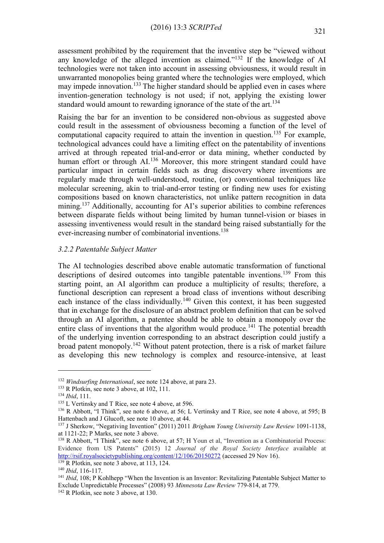assessment prohibited by the requirement that the inventive step be "viewed without any knowledge of the alleged invention as claimed."<sup>132</sup> If the knowledge of AI technologies were not taken into account in assessing obviousness, it would result in unwarranted monopolies being granted where the technologies were employed, which may impede innovation.<sup>133</sup> The higher standard should be applied even in cases where invention-generation technology is not used; if not, applying the existing lower standard would amount to rewarding ignorance of the state of the art.<sup>134</sup>

Raising the bar for an invention to be considered non-obvious as suggested above could result in the assessment of obviousness becoming a function of the level of computational capacity required to attain the invention in question.<sup>135</sup> For example, technological advances could have a limiting effect on the patentability of inventions arrived at through repeated trial-and-error or data mining, whether conducted by human effort or through AI.<sup>136</sup> Moreover, this more stringent standard could have particular impact in certain fields such as drug discovery where inventions are regularly made through well-understood, routine, (or) conventional techniques like molecular screening, akin to trial-and-error testing or finding new uses for existing compositions based on known characteristics, not unlike pattern recognition in data mining.<sup>137</sup> Additionally, accounting for AI's superior abilities to combine references between disparate fields without being limited by human tunnel-vision or biases in assessing inventiveness would result in the standard being raised substantially for the ever-increasing number of combinatorial inventions.<sup>138</sup>

### *3.2.2 Patentable Subject Matter*

The AI technologies described above enable automatic transformation of functional descriptions of desired outcomes into tangible patentable inventions.<sup>139</sup> From this starting point, an AI algorithm can produce a multiplicity of results; therefore, a functional description can represent a broad class of inventions without describing each instance of the class individually.<sup>140</sup> Given this context, it has been suggested that in exchange for the disclosure of an abstract problem definition that can be solved through an AI algorithm, a patentee should be able to obtain a monopoly over the entire class of inventions that the algorithm would produce.<sup>141</sup> The potential breadth of the underlying invention corresponding to an abstract description could justify a broad patent monopoly.<sup>142</sup> Without patent protection, there is a risk of market failure as developing this new technology is complex and resource-intensive, at least

<sup>132</sup> *Windsurfing International*, see note 124 above, at para 23.

<sup>&</sup>lt;sup>133</sup> R Plotkin, see note [3](#page-1-2) above, at 102, 111.

<sup>134</sup> *Ibid*, 111.

<sup>&</sup>lt;sup>135</sup> L Vertinsky and T Rice, see note 4 above, at 596.

<sup>136</sup> R Abbott, "I Think", see note [6](#page-1-1) above, at 56; L Vertinsky and T Rice, see note 4 above, at 595; B Hattenbach and J Glucoft, see note [10](#page-2-1) above, at 44.

<sup>137</sup> J Sherkow, "Negativing Invention" (2011) 2011 *Brigham Young University Law Review* 1091-1138, at 1121-22; P Marks, see note [3](#page-1-2) above.

<sup>&</sup>lt;sup>138</sup> R Abbott, "I Think", see note [6](#page-1-1) above, at 57; H Youn et al, "Invention as a Combinatorial Process: Evidence from US Patents" (2015) 12 *Journal of the Royal Society Interface* available at <http://rsif.royalsocietypublishing.org/content/12/106/20150272> (accessed 29 Nov 16).

<sup>&</sup>lt;sup>139</sup> R Plotkin, see note [3](#page-1-2) above, at 113, 124.

<sup>140</sup> *Ibid*, 116-117.

<sup>&</sup>lt;sup>141</sup> *Ibid.* 108: P Kohlhepp "When the Invention is an Inventor: Revitalizing Patentable Subject Matter to Exclude Unpredictable Processes" (2008) 93 *Minnesota Law Review* 779-814, at 779.

<sup>142</sup> R Plotkin, see note [3](#page-1-2) above, at 130.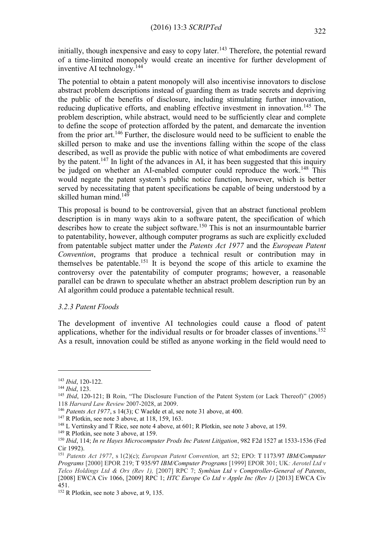initially, though inexpensive and easy to copy later.<sup>143</sup> Therefore, the potential reward of a time-limited monopoly would create an incentive for further development of inventive AI technology.<sup>144</sup>

The potential to obtain a patent monopoly will also incentivise innovators to disclose abstract problem descriptions instead of guarding them as trade secrets and depriving the public of the benefits of disclosure, including stimulating further innovation, reducing duplicative efforts, and enabling effective investment in innovation.<sup>145</sup> The problem description, while abstract, would need to be sufficiently clear and complete to define the scope of protection afforded by the patent, and demarcate the invention from the prior art.<sup>146</sup> Further, the disclosure would need to be sufficient to enable the skilled person to make and use the inventions falling within the scope of the class described, as well as provide the public with notice of what embodiments are covered by the patent.<sup>147</sup> In light of the advances in AI, it has been suggested that this inquiry be judged on whether an AI-enabled computer could reproduce the work.<sup>148</sup> This would negate the patent system's public notice function, however, which is better served by necessitating that patent specifications be capable of being understood by a skilled human mind.<sup>149</sup>

This proposal is bound to be controversial, given that an abstract functional problem description is in many ways akin to a software patent, the specification of which describes how to create the subject software.<sup>150</sup> This is not an insurmountable barrier to patentability, however, although computer programs as such are explicitly excluded from patentable subject matter under the *Patents Act 1977* and the *European Patent Convention*, programs that produce a technical result or contribution may in themselves be patentable.<sup>151</sup> It is beyond the scope of this article to examine the controversy over the patentability of computer programs; however, a reasonable parallel can be drawn to speculate whether an abstract problem description run by an AI algorithm could produce a patentable technical result.

### *3.2.3 Patent Floods*

The development of inventive AI technologies could cause a flood of patent applications, whether for the individual results or for broader classes of inventions.<sup>152</sup> As a result, innovation could be stifled as anyone working in the field would need to

<sup>143</sup> *Ibid*, 120-122.

<sup>144</sup> *Ibid*, 123.

<sup>145</sup> *Ibid*, 120-121; B Roin, "The Disclosure Function of the Patent System (or Lack Thereof)" (2005) 118 *Harvard Law Review* 2007-2028, at 2009.

<sup>146</sup> *Patents Act 1977*, s 14(3); C Waelde et al, see note 31 above, at 400.

<sup>147</sup> R Plotkin, see note [3](#page-1-2) above, at 118, 159, 163.

<sup>&</sup>lt;sup>148</sup> L Vertinsky and T Rice, see not[e 4](#page-1-0) above, at 601; R Plotkin, see note [3](#page-1-2) above, at 159.

<sup>&</sup>lt;sup>149</sup> R Plotkin, see note [3](#page-1-2) above, at 159.

<sup>150</sup> *Ibid*, 114; *In re Hayes Microcomputer Prods Inc Patent Litigation*, 982 F2d 1527 at 1533-1536 (Fed Cir 1992).

<sup>151</sup> *Patents Act 1977*, s 1(2)(c); *European Patent Convention,* art 52; EPO: T 1173/97 *IBM/Computer Programs* [2000] EPOR 219; T 935/97 *IBM/Computer Programs* [1999] EPOR 301; UK*: Aerotel Ltd v Telco Holdings Ltd & Ors (Rev 1),* [2007] RPC 7; *Symbian Ltd v Comptroller-General of Patents*, [2008] EWCA Civ 1066, [2009] RPC 1; *HTC Europe Co Ltd v Apple Inc (Rev 1)* [2013] EWCA Civ 451.

<sup>&</sup>lt;sup>152</sup> R Plotkin, see note [3](#page-1-2) above, at 9, 135.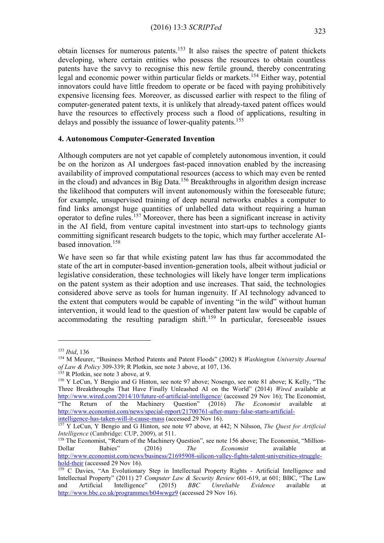obtain licenses for numerous patents.<sup>153</sup> It also raises the spectre of patent thickets developing, where certain entities who possess the resources to obtain countless patents have the savvy to recognise this new fertile ground, thereby concentrating legal and economic power within particular fields or markets.<sup>154</sup> Either way, potential innovators could have little freedom to operate or be faced with paying prohibitively expensive licensing fees. Moreover, as discussed earlier with respect to the filing of computer-generated patent texts, it is unlikely that already-taxed patent offices would have the resources to effectively process such a flood of applications, resulting in delays and possibly the issuance of lower-quality patents.<sup>155</sup>

### **4. Autonomous Computer-Generated Invention**

Although computers are not yet capable of completely autonomous invention, it could be on the horizon as AI undergoes fast-paced innovation enabled by the increasing availability of improved computational resources (access to which may even be rented in the cloud) and advances in Big Data.<sup>156</sup> Breakthroughs in algorithm design increase the likelihood that computers will invent autonomously within the foreseeable future; for example, unsupervised training of deep neural networks enables a computer to find links amongst huge quantities of unlabelled data without requiring a human operator to define rules.<sup>157</sup> Moreover, there has been a significant increase in activity in the AI field, from venture capital investment into start-ups to technology giants committing significant research budgets to the topic, which may further accelerate AIbased innovation.<sup>158</sup>

We have seen so far that while existing patent law has thus far accommodated the state of the art in computer-based invention-generation tools, albeit without judicial or legislative consideration, these technologies will likely have longer term implications on the patent system as their adoption and use increases. That said, the technologies considered above serve as tools for human ingenuity. If AI technology advanced to the extent that computers would be capable of inventing "in the wild" without human intervention, it would lead to the question of whether patent law would be capable of accommodating the resulting paradigm shift.<sup>159</sup> In particular, foreseeable issues

<sup>153</sup> *Ibid*, 136

<sup>154</sup> M Meurer, "Business Method Patents and Patent Floods" (2002) 8 *Washington University Journal of Law & Policy* 309-339; R Plotkin, see note [3](#page-1-2) above, at 107, 136.

<sup>&</sup>lt;sup>155</sup> R Plotkin, see note [3](#page-1-2) above, at 9.

<sup>156</sup> Y LeCun, Y Bengio and G Hinton, see note 97 above; Nosengo, see note 81 above; K Kelly, "The Three Breakthroughs That Have Finally Unleashed AI on the World" (2014) *Wired* available at <http://www.wired.com/2014/10/future-of-artificial-intelligence/> (accessed 29 Nov 16); The Economist, "The Return of the Machinery Question" (2016) *The Economist* available at [http://www.economist.com/news/special-report/21700761-after-many-false-starts-artificial](http://www.economist.com/news/special-report/21700761-after-many-false-starts-artificial-intelligence-has-taken-will-it-cause-mass)[intelligence-has-taken-will-it-cause-mass](http://www.economist.com/news/special-report/21700761-after-many-false-starts-artificial-intelligence-has-taken-will-it-cause-mass) (accessed 29 Nov 16).

<sup>157</sup> Y LeCun, Y Bengio and G Hinton, see note 97 above, at 442; N Nilsson, *The Quest for Artificial Intelligence* (Cambridge: CUP, 2009), at 511.

<sup>158</sup> The Economist, "Return of the Machinery Question", see note 156 above; The Economist, "Million-Dollar Babies" (2016) *The Economist* available at [http://www.economist.com/news/business/21695908-silicon-valley-fights-talent-universities-struggle](http://www.economist.com/news/business/21695908-silicon-valley-fights-talent-universities-struggle-hold-their)[hold-their](http://www.economist.com/news/business/21695908-silicon-valley-fights-talent-universities-struggle-hold-their) (accessed 29 Nov 16).

<sup>&</sup>lt;sup>159</sup> C Davies, "An Evolutionary Step in Intellectual Property Rights - Artificial Intelligence and Intellectual Property" (2011) 27 *Computer Law & Security Review* 601-619, at 601; BBC, "The Law and Artificial Intelligence" (2015) *BBC Unreliable Evidence* available at <http://www.bbc.co.uk/programmes/b04wwgz9> (accessed 29 Nov 16).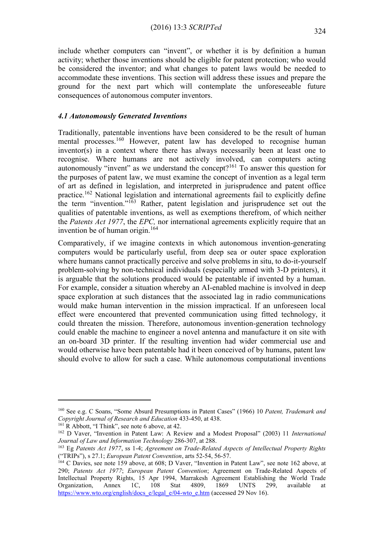include whether computers can "invent", or whether it is by definition a human activity; whether those inventions should be eligible for patent protection; who would be considered the inventor; and what changes to patent laws would be needed to accommodate these inventions. This section will address these issues and prepare the ground for the next part which will contemplate the unforeseeable future consequences of autonomous computer inventors.

# *4.1 Autonomously Generated Inventions*

Traditionally, patentable inventions have been considered to be the result of human mental processes.<sup>160</sup> However, patent law has developed to recognise human inventor(s) in a context where there has always necessarily been at least one to recognise. Where humans are not actively involved, can computers acting autonomously "invent" as we understand the concept?<sup>161</sup> To answer this question for the purposes of patent law, we must examine the concept of invention as a legal term of art as defined in legislation, and interpreted in jurisprudence and patent office practice.<sup>162</sup> National legislation and international agreements fail to explicitly define the term "invention."<sup>163</sup> Rather, patent legislation and jurisprudence set out the qualities of patentable inventions, as well as exemptions therefrom, of which neither the *Patents Act 1977*, the *EPC,* nor international agreements explicitly require that an invention be of human origin.<sup>164</sup>

Comparatively, if we imagine contexts in which autonomous invention-generating computers would be particularly useful, from deep sea or outer space exploration where humans cannot practically perceive and solve problems in situ, to do-it-yourself problem-solving by non-technical individuals (especially armed with 3-D printers), it is arguable that the solutions produced would be patentable if invented by a human. For example, consider a situation whereby an AI-enabled machine is involved in deep space exploration at such distances that the associated lag in radio communications would make human intervention in the mission impractical. If an unforeseen local effect were encountered that prevented communication using fitted technology, it could threaten the mission. Therefore, autonomous invention-generation technology could enable the machine to engineer a novel antenna and manufacture it on site with an on-board 3D printer. If the resulting invention had wider commercial use and would otherwise have been patentable had it been conceived of by humans, patent law should evolve to allow for such a case. While autonomous computational inventions

<sup>160</sup> See e.g. C Soans, "Some Absurd Presumptions in Patent Cases" (1966) 10 *Patent, Trademark and Copyright Journal of Research and Education* 433-450, at 438.

<sup>&</sup>lt;sup>1[6](#page-1-1)1</sup> R Abbott, "I Think", see note 6 above, at 42.

<sup>162</sup> D Vaver, "Invention in Patent Law: A Review and a Modest Proposal" (2003) 11 *International Journal of Law and Information Technology* 286-307, at 288.

<sup>163</sup> Eg *Patents Act 1977*, ss 1-4; *Agreement on Trade-Related Aspects of Intellectual Property Rights* ("TRIPs"), s 27.1; *European Patent Convention*, arts 52-54, 56-57.

<sup>164</sup> C Davies, see note 159 above, at 608; D Vaver, "Invention in Patent Law", see note 162 above, at 290; *Patents Act 1977*; *European Patent Convention*; Agreement on Trade-Related Aspects of Intellectual Property Rights, 15 Apr 1994, Marrakesh Agreement Establishing the World Trade Organization, Annex 1C, 108 Stat 4809, 1869 UNTS 299. available at Organization, Annex 1C, 108 Stat 4809, 1869 UNTS 299, available [https://www.wto.org/english/docs\\_e/legal\\_e/04-wto\\_e.htm](https://www.wto.org/english/docs_e/legal_e/04-wto_e.htm) (accessed 29 Nov 16).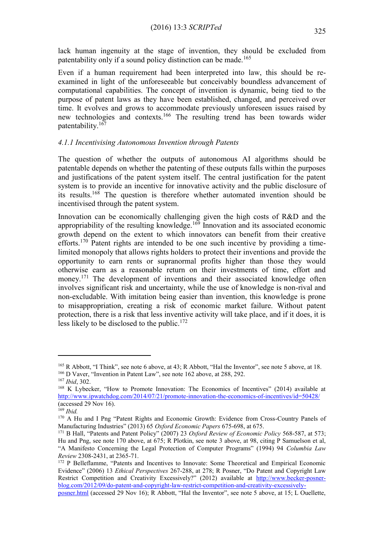lack human ingenuity at the stage of invention, they should be excluded from patentability only if a sound policy distinction can be made.<sup>165</sup>

Even if a human requirement had been interpreted into law, this should be reexamined in light of the unforeseeable but conceivably boundless advancement of computational capabilities. The concept of invention is dynamic, being tied to the purpose of patent laws as they have been established, changed, and perceived over time. It evolves and grows to accommodate previously unforeseen issues raised by new technologies and contexts.<sup>166</sup> The resulting trend has been towards wider patentability.<sup>167</sup>

### *4.1.1 Incentivising Autonomous Invention through Patents*

The question of whether the outputs of autonomous AI algorithms should be patentable depends on whether the patenting of these outputs falls within the purposes and justifications of the patent system itself. The central justification for the patent system is to provide an incentive for innovative activity and the public disclosure of its results.<sup>168</sup> The question is therefore whether automated invention should be incentivised through the patent system.

Innovation can be economically challenging given the high costs of R&D and the appropriability of the resulting knowledge.<sup>169</sup> Innovation and its associated economic growth depend on the extent to which innovators can benefit from their creative efforts.<sup>170</sup> Patent rights are intended to be one such incentive by providing a timelimited monopoly that allows rights holders to protect their inventions and provide the opportunity to earn rents or supranormal profits higher than those they would otherwise earn as a reasonable return on their investments of time, effort and money.<sup>171</sup> The development of inventions and their associated knowledge often involves significant risk and uncertainty, while the use of knowledge is non-rival and non-excludable. With imitation being easier than invention, this knowledge is prone to misappropriation, creating a risk of economic market failure. Without patent protection, there is a risk that less inventive activity will take place, and if it does, it is less likely to be disclosed to the public.<sup>172</sup>

<span id="page-20-0"></span><u>.</u>

[posner.html](http://www.becker-posner-blog.com/2012/09/do-patent-and-copyright-law-restrict-competition-and-creativity-excessively-posner.html) (accessed 29 Nov 16); R Abbott, "Hal the Inventor", see note 5 above, at 15; L Ouellette,

<sup>165</sup> R Abbott, "I Think", see note [6](#page-1-1) above, at 43; R Abbott, "Hal the Inventor", see note 5 above, at 18. <sup>166</sup> D Vaver, "Invention in Patent Law", see note 162 above, at 288, 292.

<sup>167</sup> *Ibid*, 302.

<sup>&</sup>lt;sup>168</sup> K Lybecker, "How to Promote Innovation: The Economics of Incentives" (2014) available at <http://www.ipwatchdog.com/2014/07/21/promote-innovation-the-economics-of-incentives/id=50428/> (accessed  $29$  Nov 16).

<sup>169</sup> *Ibid.*

<sup>&</sup>lt;sup>170</sup> A Hu and I Png "Patent Rights and Economic Growth: Evidence from Cross-Country Panels of Manufacturing Industries" (2013) 65 *Oxford Economic Papers* 675-698, at 675.

<sup>171</sup> B Hall, "Patents and Patent Policy" (2007) 23 *Oxford Review of Economic Policy* 568-587, at 573; Hu and Png, see note 170 above, at 675; R Plotkin, see note [3](#page-1-2) above, at 98, citing P Samuelson et al, "A Manifesto Concerning the Legal Protection of Computer Programs" (1994) 94 *Columbia Law Review* 2308-2431, at 2365-71.

<sup>&</sup>lt;sup>172</sup> P Belleflamme, "Patents and Incentives to Innovate: Some Theoretical and Empirical Economic Evidence" (2006) 13 *Ethical Perspectives* 267-288, at 278; R Posner, "Do Patent and Copyright Law Restrict Competition and Creativity Excessively?" (2012) available at [http://www.becker-posner](http://www.becker-posner-blog.com/2012/09/do-patent-and-copyright-law-restrict-competition-and-creativity-excessively-posner.html)[blog.com/2012/09/do-patent-and-copyright-law-restrict-competition-and-creativity-excessively-](http://www.becker-posner-blog.com/2012/09/do-patent-and-copyright-law-restrict-competition-and-creativity-excessively-posner.html)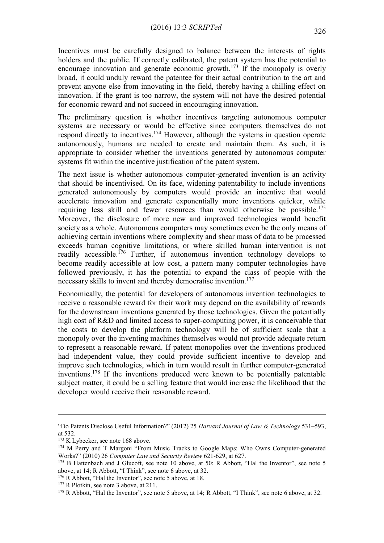Incentives must be carefully designed to balance between the interests of rights holders and the public. If correctly calibrated, the patent system has the potential to encourage innovation and generate economic growth.<sup>173</sup> If the monopoly is overly broad, it could unduly reward the patentee for their actual contribution to the art and prevent anyone else from innovating in the field, thereby having a chilling effect on innovation. If the grant is too narrow, the system will not have the desired potential for economic reward and not succeed in encouraging innovation.

The preliminary question is whether incentives targeting autonomous computer systems are necessary or would be effective since computers themselves do not respond directly to incentives.<sup>174</sup> However, although the systems in question operate autonomously, humans are needed to create and maintain them. As such, it is appropriate to consider whether the inventions generated by autonomous computer systems fit within the incentive justification of the patent system.

The next issue is whether autonomous computer-generated invention is an activity that should be incentivised. On its face, widening patentability to include inventions generated autonomously by computers would provide an incentive that would accelerate innovation and generate exponentially more inventions quicker, while requiring less skill and fewer resources than would otherwise be possible.<sup>175</sup> Moreover, the disclosure of more new and improved technologies would benefit society as a whole. Autonomous computers may sometimes even be the only means of achieving certain inventions where complexity and shear mass of data to be processed exceeds human cognitive limitations, or where skilled human intervention is not readily accessible.<sup>176</sup> Further, if autonomous invention technology develops to become readily accessible at low cost, a pattern many computer technologies have followed previously, it has the potential to expand the class of people with the necessary skills to invent and thereby democratise invention.<sup>177</sup>

Economically, the potential for developers of autonomous invention technologies to receive a reasonable reward for their work may depend on the availability of rewards for the downstream inventions generated by those technologies. Given the potentially high cost of R&D and limited access to super-computing power, it is conceivable that the costs to develop the platform technology will be of sufficient scale that a monopoly over the inventing machines themselves would not provide adequate return to represent a reasonable reward. If patent monopolies over the inventions produced had independent value, they could provide sufficient incentive to develop and improve such technologies, which in turn would result in further computer-generated inventions.<sup>178</sup> If the inventions produced were known to be potentially patentable subject matter, it could be a selling feature that would increase the likelihood that the developer would receive their reasonable reward.

<sup>&</sup>quot;Do Patents Disclose Useful Information?" (2012) 25 *Harvard Journal of Law & Technology* 531–593, at 532.

<sup>&</sup>lt;sup>173</sup> K Lybecker, see note 168 above.

<sup>&</sup>lt;sup>174</sup> M Perry and T Margoni "From Music Tracks to Google Maps: Who Owns Computer-generated Works?" (2010) 26 *Computer Law and Security Review* 621-629, at 627.

<sup>&</sup>lt;sup>175</sup> B Hattenbach and J Glucoft, see note [10](#page-2-1) above, at 50; R Abbott, "Hal the Inventor", see note 5 above, at 14; R Abbott, "I Think", see note [6](#page-1-1) above, at 32.

<sup>&</sup>lt;sup>176</sup> R Abbott, "Hal the Inventor", see note 5 above, at 18.

<sup>&</sup>lt;sup>177</sup> R Plotkin, see note [3](#page-1-2) above, at 211.

<sup>178</sup> R Abbott, "Hal the Inventor", see note 5 above, at 14; R Abbott, "I Think", see note [6](#page-1-1) above, at 32.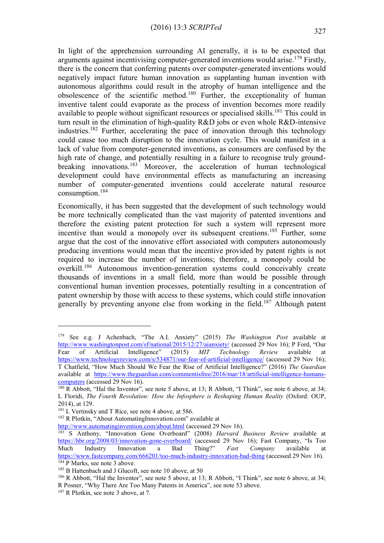In light of the apprehension surrounding AI generally, it is to be expected that arguments against incentivising computer-generated inventions would arise.<sup>179</sup> Firstly, there is the concern that conferring patents over computer-generated inventions would negatively impact future human innovation as supplanting human invention with autonomous algorithms could result in the atrophy of human intelligence and the obsolescence of the scientific method.<sup>180</sup> Further, the exceptionality of human inventive talent could evaporate as the process of invention becomes more readily available to people without significant resources or specialised skills.<sup>181</sup> This could in turn result in the elimination of high-quality R&D jobs or even whole R&D-intensive industries.<sup>182</sup> Further, accelerating the pace of innovation through this technology could cause too much disruption to the innovation cycle. This would manifest in a lack of value from computer-generated inventions, as consumers are confused by the high rate of change, and potentially resulting in a failure to recognise truly groundbreaking innovations.<sup>183</sup> Moreover, the acceleration of human technological development could have environmental effects as manufacturing an increasing number of computer-generated inventions could accelerate natural resource consumption.<sup>184</sup>

Economically, it has been suggested that the development of such technology would be more technically complicated than the vast majority of patented inventions and therefore the existing patent protection for such a system will represent more incentive than would a monopoly over its subsequent creations.<sup>185</sup> Further, some argue that the cost of the innovative effort associated with computers autonomously producing inventions would mean that the incentive provided by patent rights is not required to increase the number of inventions; therefore, a monopoly could be overkill.<sup>186</sup> Autonomous invention-generation systems could conceivably create thousands of inventions in a small field, more than would be possible through conventional human invention processes, potentially resulting in a concentration of patent ownership by those with access to these systems, which could stifle innovation generally by preventing anyone else from working in the field.<sup>187</sup> Although patent

<sup>179</sup> See e.g. J Achenbach, "The A.I. Anxiety" (2015) *The Washington Post* available at <http://www.washingtonpost.com/sf/national/2015/12/27/aianxiety/> (accessed 29 Nov 16); P Ford, "Our Fear of Artificial Intelligence" (2015) *MIT Technology Review* available at <https://www.technologyreview.com/s/534871/our-fear-of-artificial-intelligence/> (accessed 29 Nov 16); T Chatfield, "How Much Should We Fear the Rise of Artificial Intelligence?" (2016) *The Guardian* available at [https://www.theguardian.com/commentisfree/2016/mar/18/artificial-intelligence-humans](https://www.theguardian.com/commentisfree/2016/mar/18/artificial-intelligence-humans-computers)[computers](https://www.theguardian.com/commentisfree/2016/mar/18/artificial-intelligence-humans-computers) (accessed 29 Nov 16).

<sup>&</sup>lt;sup>180</sup> R Abbott, "Hal the Inventor", see note 5 above, at 13; R Abbott, "I Think", see note [6](#page-1-1) above, at 34; L Floridi, *The Fourth Revolution: How the Infosphere is Reshaping Human Reality* (Oxford: OUP, 2014), at 129.

<sup>&</sup>lt;sup>181</sup> L Vertinsky and T Rice, see note 4 above, at 586.

<sup>&</sup>lt;sup>182</sup> R Plotkin, "About AutomatingInnovation.com" available at

<http://www.automatinginvention.com/about.html> (accessed 29 Nov 16).

<sup>&</sup>lt;sup>183</sup> S Anthony, "Innovation Gone Overboard" (2008) *Harvard Business Review* available at <https://hbr.org/2008/03/innovation-gone-overboard/> (accessed 29 Nov 16); Fast Company, "Is Too Much Industry Innovation a Bad Thing?" *Fast Company* available at <https://www.fastcompany.com/666201/too-much-industry-innovation-bad-thing> (accessed 29 Nov 16). <sup>184</sup> P Marks, see note [3](#page-1-2) above.

<sup>&</sup>lt;sup>185</sup> B Hattenbach and J Glucoft, see note [10](#page-2-1) above, at 50

<sup>&</sup>lt;sup>18[6](#page-1-1)</sup> R Abbott, "Hal the Inventor", see note 5 above, at 13; R Abbott, "I Think", see note 6 above, at 34; R Posner, "Why There Are Too Many Patents in America", see note [53](#page-7-0) above.

<sup>187</sup> R Plotkin, see note [3](#page-1-2) above, at 7.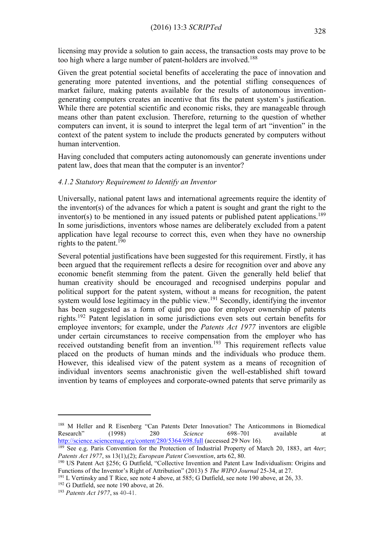licensing may provide a solution to gain access, the transaction costs may prove to be too high where a large number of patent-holders are involved.<sup>188</sup>

Given the great potential societal benefits of accelerating the pace of innovation and generating more patented inventions, and the potential stifling consequences of market failure, making patents available for the results of autonomous inventiongenerating computers creates an incentive that fits the patent system's justification. While there are potential scientific and economic risks, they are manageable through means other than patent exclusion. Therefore, returning to the question of whether computers can invent, it is sound to interpret the legal term of art "invention" in the context of the patent system to include the products generated by computers without human intervention.

Having concluded that computers acting autonomously can generate inventions under patent law, does that mean that the computer is an inventor?

### *4.1.2 Statutory Requirement to Identify an Inventor*

Universally, national patent laws and international agreements require the identity of the inventor(s) of the advances for which a patent is sought and grant the right to the inventor(s) to be mentioned in any issued patents or published patent applications.<sup>189</sup> In some jurisdictions, inventors whose names are deliberately excluded from a patent application have legal recourse to correct this, even when they have no ownership rights to the patent.<sup>190</sup>

Several potential justifications have been suggested for this requirement. Firstly, it has been argued that the requirement reflects a desire for recognition over and above any economic benefit stemming from the patent. Given the generally held belief that human creativity should be encouraged and recognised underpins popular and political support for the patent system, without a means for recognition, the patent system would lose legitimacy in the public view.<sup>191</sup> Secondly, identifying the inventor has been suggested as a form of quid pro quo for employer ownership of patents rights.<sup>192</sup> Patent legislation in some jurisdictions even sets out certain benefits for employee inventors; for example, under the *Patents Act 1977* inventors are eligible under certain circumstances to receive compensation from the employer who has received outstanding benefit from an invention.<sup>193</sup> This requirement reflects value placed on the products of human minds and the individuals who produce them. However, this idealised view of the patent system as a means of recognition of individual inventors seems anachronistic given the well-established shift toward invention by teams of employees and corporate-owned patents that serve primarily as

<sup>188</sup> M Heller and R Eisenberg "Can Patents Deter Innovation? The Anticommons in Biomedical Research" (1998) 280 *Science* 698–701 available at <http://science.sciencemag.org/content/280/5364/698.full> (accessed 29 Nov 16).

<sup>189</sup> See e.g. Paris Convention for the Protection of Industrial Property of March 20, 1883, art 4*ter*; *Patents Act 1977*, ss 13(1),(2); *European Patent Convention*, arts 62, 80.

<sup>190</sup> US Patent Act §256; G Dutfield, "Collective Invention and Patent Law Individualism: Origins and Functions of the Inventor's Right of Attribution" (2013) 5 *The WIPO Journal* 25-34, at 27.

<sup>&</sup>lt;sup>191</sup> L Vertinsky and T Rice, see note 4 above, at 585; G Dutfield, see note 190 above, at 26, 33.

 $192$  G Dutfield, see note 190 above, at 26.

<sup>193</sup> *Patents Act 1977*, ss 40-41.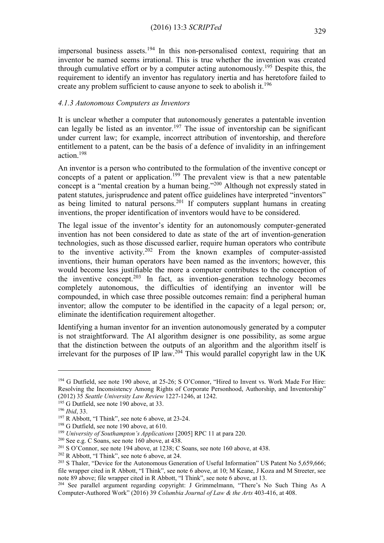impersonal business assets.<sup>194</sup> In this non-personalised context, requiring that an inventor be named seems irrational. This is true whether the invention was created through cumulative effort or by a computer acting autonomously.<sup>195</sup> Despite this, the requirement to identify an inventor has regulatory inertia and has heretofore failed to create any problem sufficient to cause anyone to seek to abolish it.<sup>196</sup>

### *4.1.3 Autonomous Computers as Inventors*

It is unclear whether a computer that autonomously generates a patentable invention can legally be listed as an inventor.<sup>197</sup> The issue of inventorship can be significant under current law; for example, incorrect attribution of inventorship, and therefore entitlement to a patent, can be the basis of a defence of invalidity in an infringement action.<sup>198</sup>

An inventor is a person who contributed to the formulation of the inventive concept or concepts of a patent or application.<sup>199</sup> The prevalent view is that a new patentable concept is a "mental creation by a human being."<sup>200</sup> Although not expressly stated in patent statutes, jurisprudence and patent office guidelines have interpreted "inventors" as being limited to natural persons.<sup>201</sup> If computers supplant humans in creating inventions, the proper identification of inventors would have to be considered.

The legal issue of the inventor's identity for an autonomously computer-generated invention has not been considered to date as state of the art of invention-generation technologies, such as those discussed earlier, require human operators who contribute to the inventive activity.<sup>202</sup> From the known examples of computer-assisted inventions, their human operators have been named as the inventors; however, this would become less justifiable the more a computer contributes to the conception of the inventive concept.<sup>203</sup> In fact, as invention-generation technology becomes completely autonomous, the difficulties of identifying an inventor will be compounded, in which case three possible outcomes remain: find a peripheral human inventor; allow the computer to be identified in the capacity of a legal person; or, eliminate the identification requirement altogether.

Identifying a human inventor for an invention autonomously generated by a computer is not straightforward. The AI algorithm designer is one possibility, as some argue that the distinction between the outputs of an algorithm and the algorithm itself is irrelevant for the purposes of IP law.<sup>204</sup> This would parallel copyright law in the UK

<sup>&</sup>lt;sup>194</sup> G Dutfield, see note 190 above, at 25-26; S O'Connor, "Hired to Invent vs. Work Made For Hire: Resolving the Inconsistency Among Rights of Corporate Personhood, Authorship, and Inventorship" (2012) 35 *Seattle University Law Review* 1227-1246, at 1242.

<sup>&</sup>lt;sup>195</sup> G Dutfield, see note 190 above, at 33.

<sup>196</sup> *Ibid*, 33.

<sup>197</sup> R Abbott, "I Think", see note [6](#page-1-1) above, at 23-24.

<sup>&</sup>lt;sup>198</sup> G Dutfield, see note 190 above, at 610.

<sup>199</sup> *University of Southampton's Applications* [2005] RPC 11 at para 220.

<sup>200</sup> See e.g. C Soans, see note 160 above, at 438.

<sup>&</sup>lt;sup>201</sup> S O'Connor, see note 194 above, at 1238; C Soans, see note 160 above, at 438.

<sup>202</sup> R Abbott, "I Think", see note [6](#page-1-1) above, at 24.

<sup>&</sup>lt;sup>203</sup> S Thaler, "Device for the Autonomous Generation of Useful Information" US Patent No 5,659,666; file wrapper cited in R Abbott, "I Think", see note [6](#page-1-1) above, at 10; M Keane, J Koza and M Streeter, see note 89 above; file wrapper cited in R Abbott, "I Think", see note [6](#page-1-1) above, at 13.

<sup>&</sup>lt;sup>204</sup> See parallel argument regarding copyright: J Grimmelmann, "There's No Such Thing As A Computer-Authored Work" (2016) 39 *Columbia Journal of Law & the Arts* 403-416, at 408.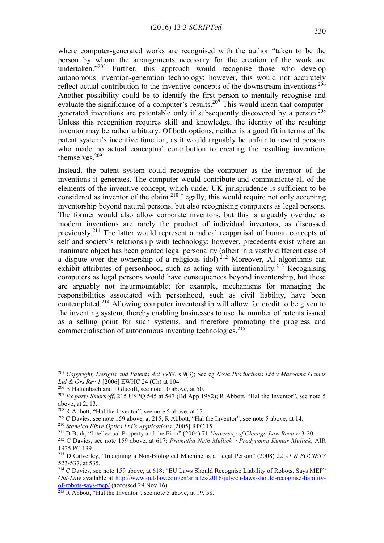where computer-generated works are recognised with the author "taken to be the person by whom the arrangements necessary for the creation of the work are undertaken."<sup>205</sup> Further, this approach would recognise those who develop autonomous invention-generation technology; however, this would not accurately reflect actual contribution to the inventive concepts of the downstream inventions.<sup>206</sup> Another possibility could be to identify the first person to mentally recognise and evaluate the significance of a computer's results.<sup>207</sup> This would mean that computergenerated inventions are patentable only if subsequently discovered by a person.<sup>208</sup> Unless this recognition requires skill and knowledge, the identity of the resulting inventor may be rather arbitrary. Of both options, neither is a good fit in terms of the patent system's incentive function, as it would arguably be unfair to reward persons who made no actual conceptual contribution to creating the resulting inventions themselves.<sup>209</sup>

Instead, the patent system could recognise the computer as the inventor of the inventions it generates. The computer would contribute and communicate all of the elements of the inventive concept, which under UK jurisprudence is sufficient to be considered as inventor of the claim.<sup>210</sup> Legally, this would require not only accepting inventorship beyond natural persons, but also recognising computers as legal persons. The former would also allow corporate inventors, but this is arguably overdue as modern inventions are rarely the product of individual inventors, as discussed previously.<sup>211</sup> The latter would represent a radical reappraisal of human concepts of self and society's relationship with technology; however, precedents exist where an inanimate object has been granted legal personality (albeit in a vastly different case of a dispute over the ownership of a religious idol).<sup>212</sup> Moreover, AI algorithms can exhibit attributes of personhood, such as acting with intentionality.<sup>213</sup> Recognising computers as legal persons would have consequences beyond inventorship, but these are arguably not insurmountable; for example, mechanisms for managing the responsibilities associated with personhood, such as civil liability, have been contemplated.<sup>214</sup> Allowing computer inventorship will allow for credit to be given to the inventing system, thereby enabling businesses to use the number of patents issued as a selling point for such systems, and therefore promoting the progress and commercialisation of autonomous inventing technologies.<sup>215</sup>

<sup>205</sup> *Copyright, Designs and Patents Act 1988*, s 9(3); See eg *Nova Productions Ltd v Mazooma Games Ltd & Ors Rev 1* [2006] EWHC 24 (Ch) at 104.

<sup>206</sup> B Hattenbach and J Glucoft, see note [10](#page-2-1) above, at 50.

<sup>&</sup>lt;sup>207</sup> *Ex parte Smernoff*, 215 USPQ 545 at 547 (Bd App 1982); R Abbott, "Hal the Inventor", see note 5 above, at 2, 13.

<sup>208</sup> R Abbott, "Hal the Inventor", see note 5 above, at 13.

<sup>&</sup>lt;sup>209</sup> C Davies, see note 159 above, at 215; R Abbott, "Hal the Inventor", see note 5 above, at 14.

<sup>210</sup> *Stanelco Fibre Optics Ltd's Applications* [2005] RPC 15.

<sup>211</sup> D Burk, "Intellectual Property and the Firm" (2004) 71 *University of Chicago Law Review* 3-20.

<sup>212</sup> C Davies, see note 159 above, at 617; *Pramatha Nath Mullick v Pradyumna Kumar Mullick*, AIR 1925 PC 139.

<sup>213</sup> D Calverley, "Imagining a Non-Biological Machine as a Legal Person" (2008) 22 *AI & SOCIETY* 523-537, at 535.

<sup>&</sup>lt;sup>214</sup> C Davies, see note 159 above, at 618; "EU Laws Should Recognise Liability of Robots, Says MEP" *Out-Law* available at [http://www.out-law.com/en/articles/2016/july/eu-laws-should-recognise-liability](http://www.out-law.com/en/articles/2016/july/eu-laws-should-recognise-liability-of-robots-says-mep/)[of-robots-says-mep/](http://www.out-law.com/en/articles/2016/july/eu-laws-should-recognise-liability-of-robots-says-mep/) (accessed 29 Nov 16).

 $\frac{215 \text{ R } \times \text{215}}{115 \text{ R } \times \text{.}}$  The Inventor", see note 5 above, at 19, 58.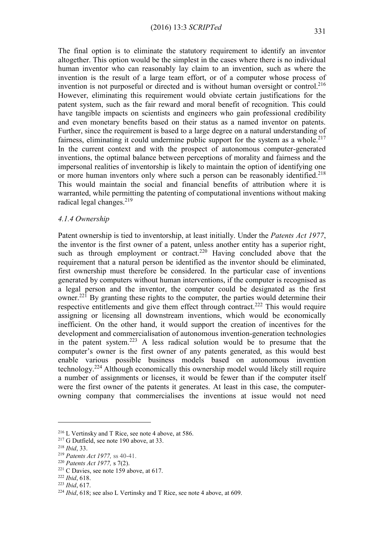The final option is to eliminate the statutory requirement to identify an inventor altogether. This option would be the simplest in the cases where there is no individual human inventor who can reasonably lay claim to an invention, such as where the invention is the result of a large team effort, or of a computer whose process of invention is not purposeful or directed and is without human oversight or control.<sup>216</sup> However, eliminating this requirement would obviate certain justifications for the patent system, such as the fair reward and moral benefit of recognition. This could have tangible impacts on scientists and engineers who gain professional credibility and even monetary benefits based on their status as a named inventor on patents. Further, since the requirement is based to a large degree on a natural understanding of fairness, eliminating it could undermine public support for the system as a whole.<sup>217</sup> In the current context and with the prospect of autonomous computer-generated inventions, the optimal balance between perceptions of morality and fairness and the impersonal realities of inventorship is likely to maintain the option of identifying one or more human inventors only where such a person can be reasonably identified.<sup>218</sup> This would maintain the social and financial benefits of attribution where it is warranted, while permitting the patenting of computational inventions without making radical legal changes.<sup>219</sup>

### *4.1.4 Ownership*

Patent ownership is tied to inventorship, at least initially. Under the *Patents Act 1977*, the inventor is the first owner of a patent, unless another entity has a superior right, such as through employment or contract.<sup>220</sup> Having concluded above that the requirement that a natural person be identified as the inventor should be eliminated, first ownership must therefore be considered. In the particular case of inventions generated by computers without human interventions, if the computer is recognised as a legal person and the inventor, the computer could be designated as the first owner.<sup>221</sup> By granting these rights to the computer, the parties would determine their respective entitlements and give them effect through contract.<sup>222</sup> This would require assigning or licensing all downstream inventions, which would be economically inefficient. On the other hand, it would support the creation of incentives for the development and commercialisation of autonomous invention-generation technologies in the patent system.<sup>223</sup> A less radical solution would be to presume that the computer's owner is the first owner of any patents generated, as this would best enable various possible business models based on autonomous invention technology.<sup>224</sup> Although economically this ownership model would likely still require a number of assignments or licenses, it would be fewer than if the computer itself were the first owner of the patents it generates. At least in this case, the computerowning company that commercialises the inventions at issue would not need

<u>.</u>

<sup>216</sup> L Vertinsky and T Rice, see note 4 above, at 586.

<sup>&</sup>lt;sup>217</sup> G Dutfield, see note 190 above, at 33.

<sup>218</sup> *Ibid*, 33.

<sup>219</sup> *Patents Act 1977,* ss 40-41.

<sup>220</sup> *Patents Act 1977,* s 7(2).

<sup>&</sup>lt;sup>221</sup> C Davies, see note 159 above, at 617.

<sup>222</sup> *Ibid*, 618.

<sup>223</sup> *Ibid*, 617.

<sup>224</sup> *Ibid*, 618; see also L Vertinsky and T Rice, see note 4 above, at 609.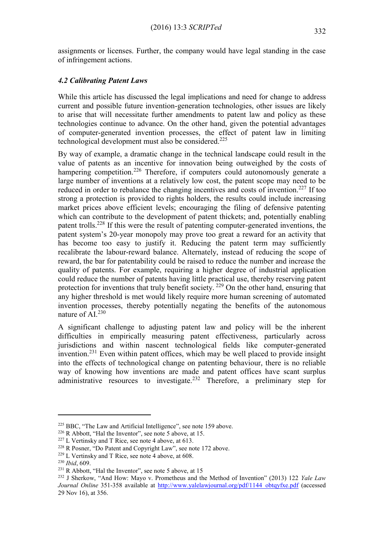assignments or licenses. Further, the company would have legal standing in the case of infringement actions.

# *4.2 Calibrating Patent Laws*

While this article has discussed the legal implications and need for change to address current and possible future invention-generation technologies, other issues are likely to arise that will necessitate further amendments to patent law and policy as these technologies continue to advance. On the other hand, given the potential advantages of computer-generated invention processes, the effect of patent law in limiting technological development must also be considered.<sup>225</sup>

By way of example, a dramatic change in the technical landscape could result in the value of patents as an incentive for innovation being outweighed by the costs of hampering competition.<sup>226</sup> Therefore, if computers could autonomously generate a large number of inventions at a relatively low cost, the patent scope may need to be reduced in order to rebalance the changing incentives and costs of invention.<sup>227</sup> If too strong a protection is provided to rights holders, the results could include increasing market prices above efficient levels; encouraging the filing of defensive patenting which can contribute to the development of patent thickets; and, potentially enabling patent trolls.<sup>228</sup> If this were the result of patenting computer-generated inventions, the patent system's 20-year monopoly may prove too great a reward for an activity that has become too easy to justify it. Reducing the patent term may sufficiently recalibrate the labour-reward balance. Alternately, instead of reducing the scope of reward, the bar for patentability could be raised to reduce the number and increase the quality of patents. For example, requiring a higher degree of industrial application could reduce the number of patents having little practical use, thereby reserving patent protection for inventions that truly benefit society.  $^{229}$  On the other hand, ensuring that any higher threshold is met would likely require more human screening of automated invention processes, thereby potentially negating the benefits of the autonomous nature of AI.<sup>230</sup>

A significant challenge to adjusting patent law and policy will be the inherent difficulties in empirically measuring patent effectiveness, particularly across jurisdictions and within nascent technological fields like computer-generated invention.<sup>231</sup> Even within patent offices, which may be well placed to provide insight into the effects of technological change on patenting behaviour, there is no reliable way of knowing how inventions are made and patent offices have scant surplus administrative resources to investigate.<sup>232</sup> Therefore, a preliminary step for

<sup>&</sup>lt;sup>225</sup> BBC, "The Law and Artificial Intelligence", see note 159 above.

<sup>226</sup> R Abbott, "Hal the Inventor", see note 5 above, at 15.

<sup>227</sup> L Vertinsky and T Rice, see note 4 above, at 613.

<sup>228</sup> R Posner, "Do Patent and Copyright Law", see note [172](#page-20-0) above.

<sup>229</sup> L Vertinsky and T Rice, see note 4 above, at 608.

<sup>230</sup> *Ibid*, 609.

<sup>&</sup>lt;sup>231</sup> R Abbott, "Hal the Inventor", see note 5 above, at 15

<sup>232</sup> J Sherkow, "And How: Mayo v. Prometheus and the Method of Invention" (2013) 122 *Yale Law Journal Online* 351-358 available at [http://www.yalelawjournal.org/pdf/1144\\_obtqyfxe.pdf](http://www.yalelawjournal.org/pdf/1144_obtqyfxe.pdf) (accessed 29 Nov 16), at 356.